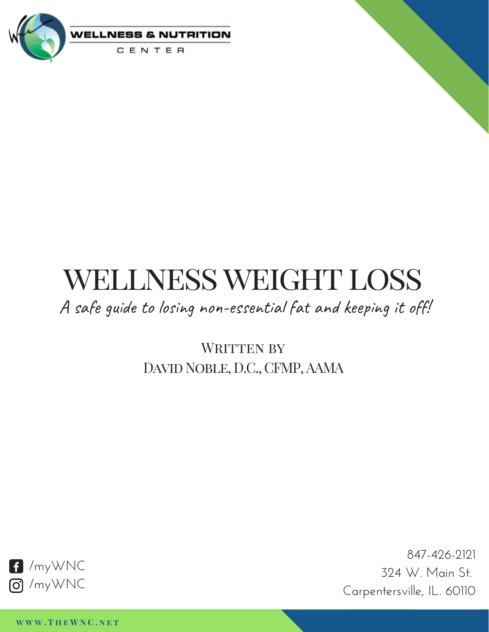

# WELLNESS WEIGHT LOSS

A safe guide to losing non-essential fat and keeping it off!

WRITTEN BY DAVID NOBLE, D.C., CFMP, AAMA



847-426-2121 324 W. Main St. Carpentersville, IL. 60110

**w w w . T h e W N C . n e t**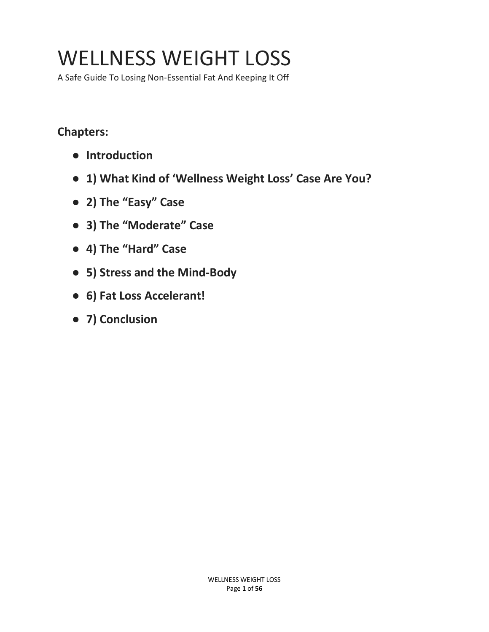## WELLNESS WEIGHT LOSS

A Safe Guide To Losing Non-Essential Fat And Keeping It Off

## **Chapters:**

- **Introduction**
- **1) What Kind of 'Wellness Weight Loss' Case Are You?**
- **2) The "Easy" Case**
- **3) The "Moderate" Case**
- **4) The "Hard" Case**
- **5) Stress and the Mind-Body**
- **6) Fat Loss Accelerant!**
- **7) Conclusion**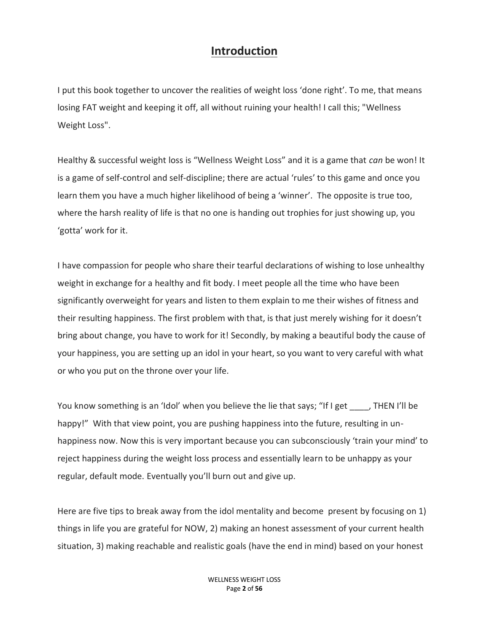## **Introduction**

I put this book together to uncover the realities of weight loss 'done right'. To me, that means losing FAT weight and keeping it off, all without ruining your health! I call this; "Wellness Weight Loss".

Healthy & successful weight loss is "Wellness Weight Loss" and it is a game that *can* be won! It is a game of self-control and self-discipline; there are actual 'rules' to this game and once you learn them you have a much higher likelihood of being a 'winner'. The opposite is true too, where the harsh reality of life is that no one is handing out trophies for just showing up, you 'gotta' work for it.

I have compassion for people who share their tearful declarations of wishing to lose unhealthy weight in exchange for a healthy and fit body. I meet people all the time who have been significantly overweight for years and listen to them explain to me their wishes of fitness and their resulting happiness. The first problem with that, is that just merely wishing for it doesn't bring about change, you have to work for it! Secondly, by making a beautiful body the cause of your happiness, you are setting up an idol in your heart, so you want to very careful with what or who you put on the throne over your life.

You know something is an 'Idol' when you believe the lie that says; "If I get , THEN I'll be happy!" With that view point, you are pushing happiness into the future, resulting in unhappiness now. Now this is very important because you can subconsciously 'train your mind' to reject happiness during the weight loss process and essentially learn to be unhappy as your regular, default mode. Eventually you'll burn out and give up.

Here are five tips to break away from the idol mentality and become present by focusing on 1) things in life you are grateful for NOW, 2) making an honest assessment of your current health situation, 3) making reachable and realistic goals (have the end in mind) based on your honest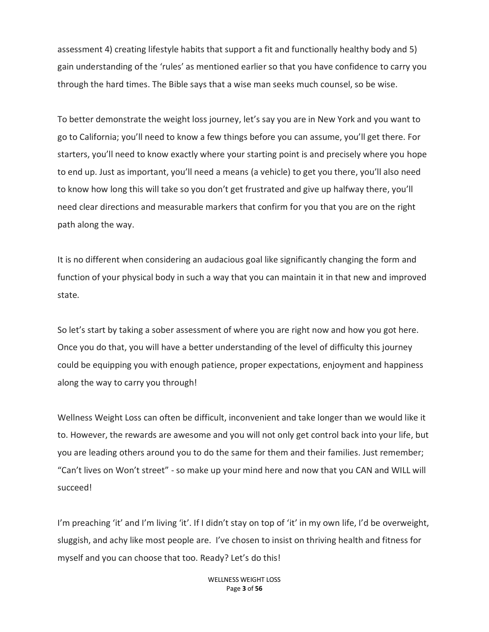assessment 4) creating lifestyle habits that support a fit and functionally healthy body and 5) gain understanding of the 'rules' as mentioned earlier so that you have confidence to carry you through the hard times. The Bible says that a wise man seeks much counsel, so be wise.

To better demonstrate the weight loss journey, let's say you are in New York and you want to go to California; you'll need to know a few things before you can assume, you'll get there. For starters, you'll need to know exactly where your starting point is and precisely where you hope to end up. Just as important, you'll need a means (a vehicle) to get you there, you'll also need to know how long this will take so you don't get frustrated and give up halfway there, you'll need clear directions and measurable markers that confirm for you that you are on the right path along the way.

It is no different when considering an audacious goal like significantly changing the form and function of your physical body in such a way that you can maintain it in that new and improved state.

So let's start by taking a sober assessment of where you are right now and how you got here. Once you do that, you will have a better understanding of the level of difficulty this journey could be equipping you with enough patience, proper expectations, enjoyment and happiness along the way to carry you through!

Wellness Weight Loss can often be difficult, inconvenient and take longer than we would like it to. However, the rewards are awesome and you will not only get control back into your life, but you are leading others around you to do the same for them and their families. Just remember; "Can't lives on Won't street" - so make up your mind here and now that you CAN and WILL will succeed!

I'm preaching 'it' and I'm living 'it'. If I didn't stay on top of 'it' in my own life, I'd be overweight, sluggish, and achy like most people are. I've chosen to insist on thriving health and fitness for myself and you can choose that too. Ready? Let's do this!

> WELLNESS WEIGHT LOSS Page **3** of **56**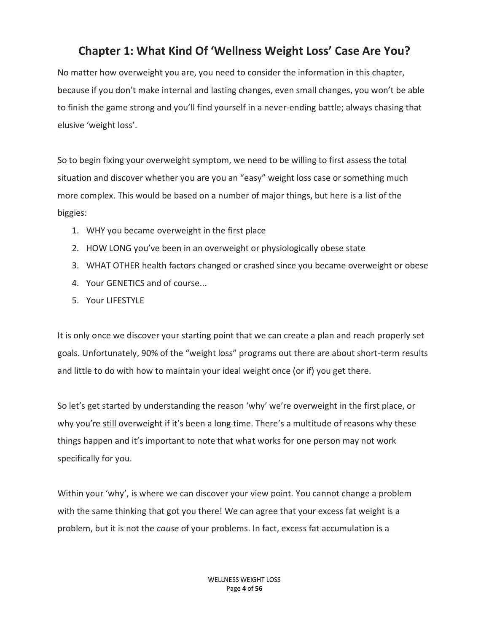## **Chapter 1: What Kind Of 'Wellness Weight Loss' Case Are You?**

No matter how overweight you are, you need to consider the information in this chapter, because if you don't make internal and lasting changes, even small changes, you won't be able to finish the game strong and you'll find yourself in a never-ending battle; always chasing that elusive 'weight loss'.

So to begin fixing your overweight symptom, we need to be willing to first assess the total situation and discover whether you are you an "easy" weight loss case or something much more complex. This would be based on a number of major things, but here is a list of the biggies:

- 1. WHY you became overweight in the first place
- 2. HOW LONG you've been in an overweight or physiologically obese state
- 3. WHAT OTHER health factors changed or crashed since you became overweight or obese
- 4. Your GENETICS and of course...
- 5. Your LIFESTYLE

It is only once we discover your starting point that we can create a plan and reach properly set goals. Unfortunately, 90% of the "weight loss" programs out there are about short-term results and little to do with how to maintain your ideal weight once (or if) you get there.

So let's get started by understanding the reason 'why' we're overweight in the first place, or why you're still overweight if it's been a long time. There's a multitude of reasons why these things happen and it's important to note that what works for one person may not work specifically for you.

Within your 'why', is where we can discover your view point. You cannot change a problem with the same thinking that got you there! We can agree that your excess fat weight is a problem, but it is not the *cause* of your problems. In fact, excess fat accumulation is a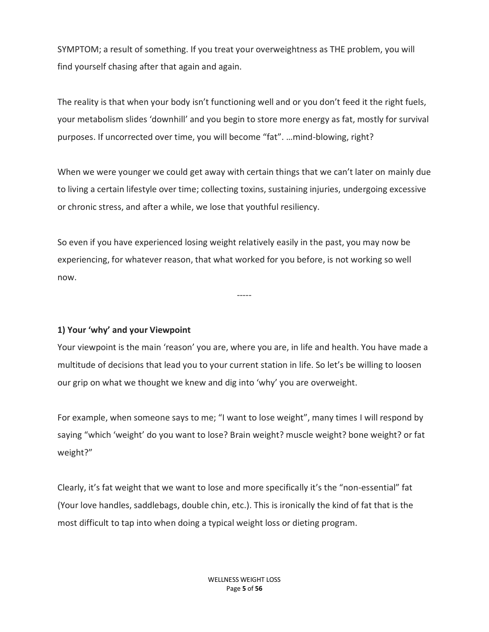SYMPTOM; a result of something. If you treat your overweightness as THE problem, you will find yourself chasing after that again and again.

The reality is that when your body isn't functioning well and or you don't feed it the right fuels, your metabolism slides 'downhill' and you begin to store more energy as fat, mostly for survival purposes. If uncorrected over time, you will become "fat". …mind-blowing, right?

When we were younger we could get away with certain things that we can't later on mainly due to living a certain lifestyle over time; collecting toxins, sustaining injuries, undergoing excessive or chronic stress, and after a while, we lose that youthful resiliency.

So even if you have experienced losing weight relatively easily in the past, you may now be experiencing, for whatever reason, that what worked for you before, is not working so well now.

**1) Your 'why' and your Viewpoint**

Your viewpoint is the main 'reason' you are, where you are, in life and health. You have made a multitude of decisions that lead you to your current station in life. So let's be willing to loosen our grip on what we thought we knew and dig into 'why' you are overweight.

-----

For example, when someone says to me; "I want to lose weight", many times I will respond by saying "which 'weight' do you want to lose? Brain weight? muscle weight? bone weight? or fat weight?"

Clearly, it's fat weight that we want to lose and more specifically it's the "non-essential" fat (Your love handles, saddlebags, double chin, etc.). This is ironically the kind of fat that is the most difficult to tap into when doing a typical weight loss or dieting program.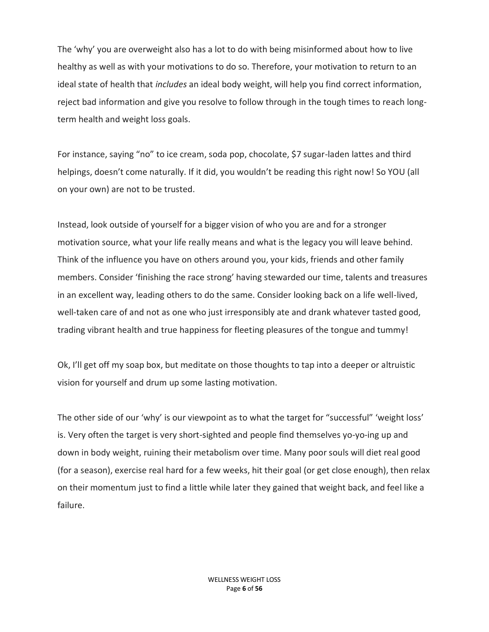The 'why' you are overweight also has a lot to do with being misinformed about how to live healthy as well as with your motivations to do so. Therefore, your motivation to return to an ideal state of health that *includes* an ideal body weight, will help you find correct information, reject bad information and give you resolve to follow through in the tough times to reach longterm health and weight loss goals.

For instance, saying "no" to ice cream, soda pop, chocolate, \$7 sugar-laden lattes and third helpings, doesn't come naturally. If it did, you wouldn't be reading this right now! So YOU (all on your own) are not to be trusted.

Instead, look outside of yourself for a bigger vision of who you are and for a stronger motivation source, what your life really means and what is the legacy you will leave behind. Think of the influence you have on others around you, your kids, friends and other family members. Consider 'finishing the race strong' having stewarded our time, talents and treasures in an excellent way, leading others to do the same. Consider looking back on a life well-lived, well-taken care of and not as one who just irresponsibly ate and drank whatever tasted good, trading vibrant health and true happiness for fleeting pleasures of the tongue and tummy!

Ok, I'll get off my soap box, but meditate on those thoughts to tap into a deeper or altruistic vision for yourself and drum up some lasting motivation.

The other side of our 'why' is our viewpoint as to what the target for "successful" 'weight loss' is. Very often the target is very short-sighted and people find themselves yo-yo-ing up and down in body weight, ruining their metabolism over time. Many poor souls will diet real good (for a season), exercise real hard for a few weeks, hit their goal (or get close enough), then relax on their momentum just to find a little while later they gained that weight back, and feel like a failure.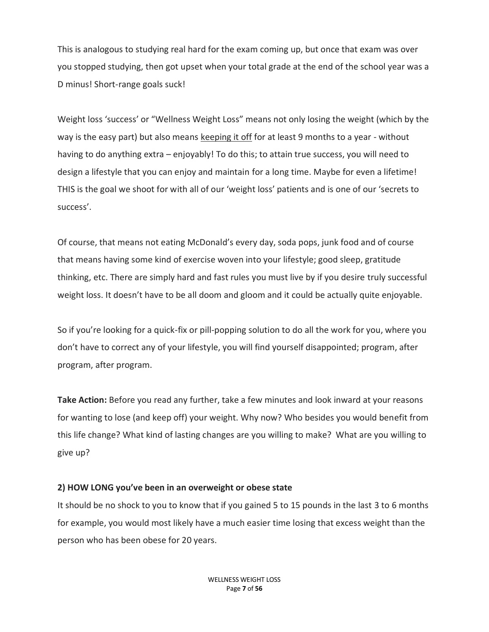This is analogous to studying real hard for the exam coming up, but once that exam was over you stopped studying, then got upset when your total grade at the end of the school year was a D minus! Short-range goals suck!

Weight loss 'success' or "Wellness Weight Loss" means not only losing the weight (which by the way is the easy part) but also means keeping it off for at least 9 months to a year - without having to do anything extra – enjoyably! To do this; to attain true success, you will need to design a lifestyle that you can enjoy and maintain for a long time. Maybe for even a lifetime! THIS is the goal we shoot for with all of our 'weight loss' patients and is one of our 'secrets to success'.

Of course, that means not eating McDonald's every day, soda pops, junk food and of course that means having some kind of exercise woven into your lifestyle; good sleep, gratitude thinking, etc. There are simply hard and fast rules you must live by if you desire truly successful weight loss. It doesn't have to be all doom and gloom and it could be actually quite enjoyable.

So if you're looking for a quick-fix or pill-popping solution to do all the work for you, where you don't have to correct any of your lifestyle, you will find yourself disappointed; program, after program, after program.

**Take Action:** Before you read any further, take a few minutes and look inward at your reasons for wanting to lose (and keep off) your weight. Why now? Who besides you would benefit from this life change? What kind of lasting changes are you willing to make? What are you willing to give up?

#### **2) HOW LONG you've been in an overweight or obese state**

It should be no shock to you to know that if you gained 5 to 15 pounds in the last 3 to 6 months for example, you would most likely have a much easier time losing that excess weight than the person who has been obese for 20 years.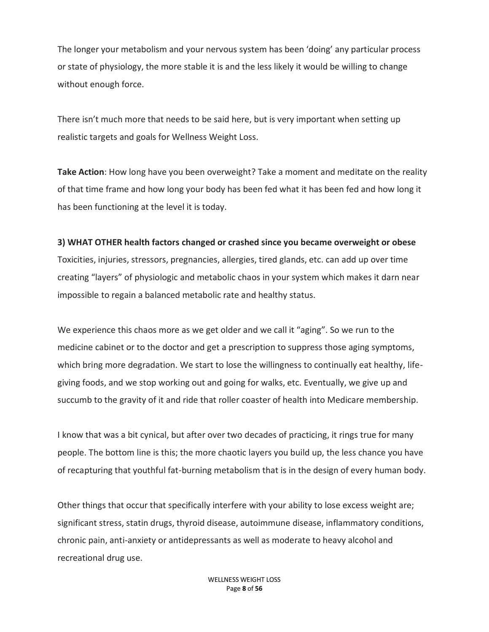The longer your metabolism and your nervous system has been 'doing' any particular process or state of physiology, the more stable it is and the less likely it would be willing to change without enough force.

There isn't much more that needs to be said here, but is very important when setting up realistic targets and goals for Wellness Weight Loss.

**Take Action**: How long have you been overweight? Take a moment and meditate on the reality of that time frame and how long your body has been fed what it has been fed and how long it has been functioning at the level it is today.

## **3) WHAT OTHER health factors changed or crashed since you became overweight or obese**

Toxicities, injuries, stressors, pregnancies, allergies, tired glands, etc. can add up over time creating "layers" of physiologic and metabolic chaos in your system which makes it darn near impossible to regain a balanced metabolic rate and healthy status.

We experience this chaos more as we get older and we call it "aging". So we run to the medicine cabinet or to the doctor and get a prescription to suppress those aging symptoms, which bring more degradation. We start to lose the willingness to continually eat healthy, lifegiving foods, and we stop working out and going for walks, etc. Eventually, we give up and succumb to the gravity of it and ride that roller coaster of health into Medicare membership.

I know that was a bit cynical, but after over two decades of practicing, it rings true for many people. The bottom line is this; the more chaotic layers you build up, the less chance you have of recapturing that youthful fat-burning metabolism that is in the design of every human body.

Other things that occur that specifically interfere with your ability to lose excess weight are; significant stress, statin drugs, thyroid disease, autoimmune disease, inflammatory conditions, chronic pain, anti-anxiety or antidepressants as well as moderate to heavy alcohol and recreational drug use.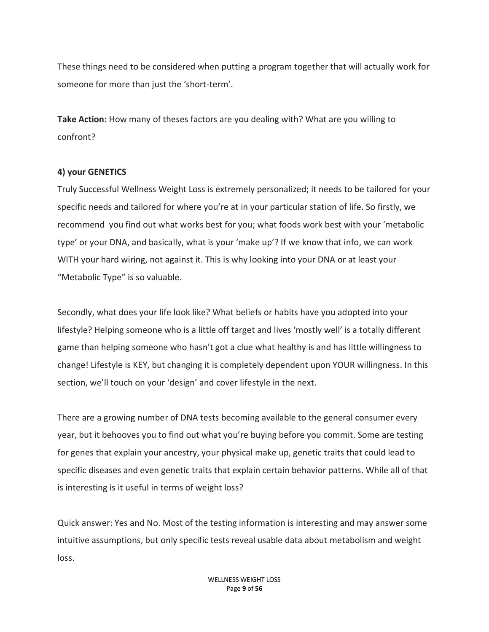These things need to be considered when putting a program together that will actually work for someone for more than just the 'short-term'.

**Take Action:** How many of theses factors are you dealing with? What are you willing to confront?

#### **4) your GENETICS**

Truly Successful Wellness Weight Loss is extremely personalized; it needs to be tailored for your specific needs and tailored for where you're at in your particular station of life. So firstly, we recommend you find out what works best for you; what foods work best with your 'metabolic type' or your DNA, and basically, what is your 'make up'? If we know that info, we can work WITH your hard wiring, not against it. This is why looking into your DNA or at least your "Metabolic Type" is so valuable.

Secondly, what does your life look like? What beliefs or habits have you adopted into your lifestyle? Helping someone who is a little off target and lives 'mostly well' is a totally different game than helping someone who hasn't got a clue what healthy is and has little willingness to change! Lifestyle is KEY, but changing it is completely dependent upon YOUR willingness. In this section, we'll touch on your 'design' and cover lifestyle in the next.

There are a growing number of DNA tests becoming available to the general consumer every year, but it behooves you to find out what you're buying before you commit. Some are testing for genes that explain your ancestry, your physical make up, genetic traits that could lead to specific diseases and even genetic traits that explain certain behavior patterns. While all of that is interesting is it useful in terms of weight loss?

Quick answer: Yes and No. Most of the testing information is interesting and may answer some intuitive assumptions, but only specific tests reveal usable data about metabolism and weight loss.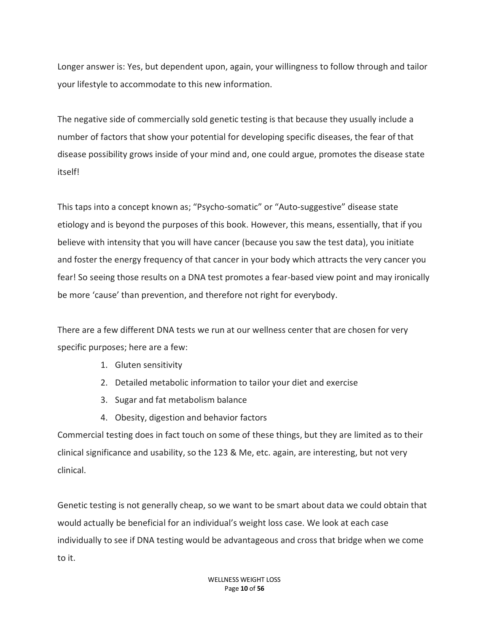Longer answer is: Yes, but dependent upon, again, your willingness to follow through and tailor your lifestyle to accommodate to this new information.

The negative side of commercially sold genetic testing is that because they usually include a number of factors that show your potential for developing specific diseases, the fear of that disease possibility grows inside of your mind and, one could argue, promotes the disease state itself!

This taps into a concept known as; "Psycho-somatic" or "Auto-suggestive" disease state etiology and is beyond the purposes of this book. However, this means, essentially, that if you believe with intensity that you will have cancer (because you saw the test data), you initiate and foster the energy frequency of that cancer in your body which attracts the very cancer you fear! So seeing those results on a DNA test promotes a fear-based view point and may ironically be more 'cause' than prevention, and therefore not right for everybody.

There are a few different DNA tests we run at our wellness center that are chosen for very specific purposes; here are a few:

- 1. Gluten sensitivity
- 2. Detailed metabolic information to tailor your diet and exercise
- 3. Sugar and fat metabolism balance
- 4. Obesity, digestion and behavior factors

Commercial testing does in fact touch on some of these things, but they are limited as to their clinical significance and usability, so the 123 & Me, etc. again, are interesting, but not very clinical.

Genetic testing is not generally cheap, so we want to be smart about data we could obtain that would actually be beneficial for an individual's weight loss case. We look at each case individually to see if DNA testing would be advantageous and cross that bridge when we come to it.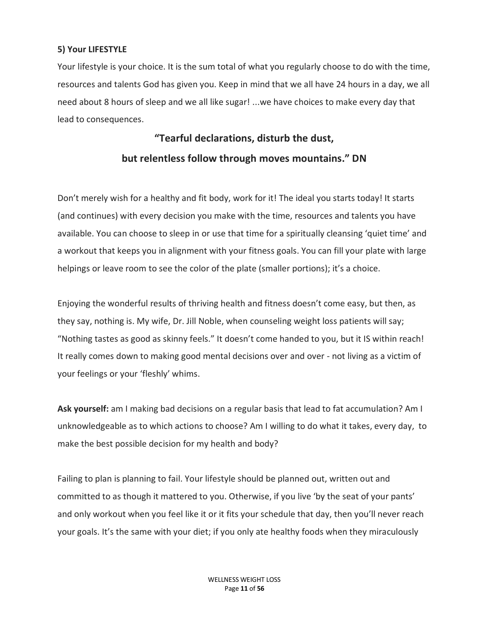## **5) Your LIFESTYLE**

Your lifestyle is your choice. It is the sum total of what you regularly choose to do with the time, resources and talents God has given you. Keep in mind that we all have 24 hours in a day, we all need about 8 hours of sleep and we all like sugar! ...we have choices to make every day that lead to consequences.

## **"Tearful declarations, disturb the dust, but relentless follow through moves mountains." DN**

Don't merely wish for a healthy and fit body, work for it! The ideal you starts today! It starts (and continues) with every decision you make with the time, resources and talents you have available. You can choose to sleep in or use that time for a spiritually cleansing 'quiet time' and a workout that keeps you in alignment with your fitness goals. You can fill your plate with large helpings or leave room to see the color of the plate (smaller portions); it's a choice.

Enjoying the wonderful results of thriving health and fitness doesn't come easy, but then, as they say, nothing is. My wife, Dr. Jill Noble, when counseling weight loss patients will say; "Nothing tastes as good as skinny feels." It doesn't come handed to you, but it IS within reach! It really comes down to making good mental decisions over and over - not living as a victim of your feelings or your 'fleshly' whims.

**Ask yourself:** am I making bad decisions on a regular basis that lead to fat accumulation? Am I unknowledgeable as to which actions to choose? Am I willing to do what it takes, every day, to make the best possible decision for my health and body?

Failing to plan is planning to fail. Your lifestyle should be planned out, written out and committed to as though it mattered to you. Otherwise, if you live 'by the seat of your pants' and only workout when you feel like it or it fits your schedule that day, then you'll never reach your goals. It's the same with your diet; if you only ate healthy foods when they miraculously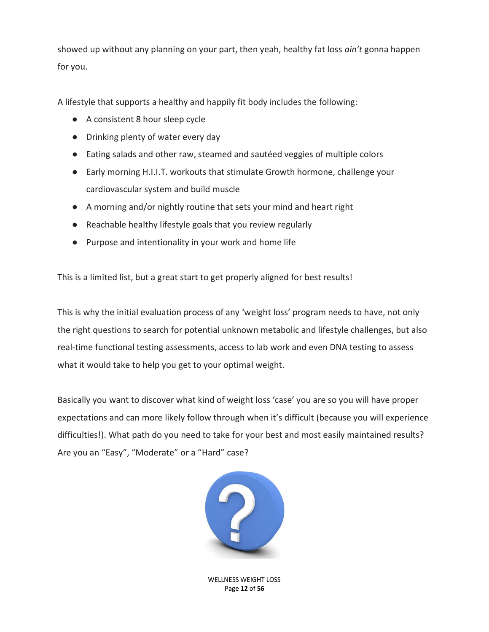showed up without any planning on your part, then yeah, healthy fat loss *ain't* gonna happen for you.

A lifestyle that supports a healthy and happily fit body includes the following:

- A consistent 8 hour sleep cycle
- Drinking plenty of water every day
- Eating salads and other raw, steamed and sautéed veggies of multiple colors
- Early morning H.I.I.T. workouts that stimulate Growth hormone, challenge your cardiovascular system and build muscle
- A morning and/or nightly routine that sets your mind and heart right
- Reachable healthy lifestyle goals that you review regularly
- Purpose and intentionality in your work and home life

This is a limited list, but a great start to get properly aligned for best results!

This is why the initial evaluation process of any 'weight loss' program needs to have, not only the right questions to search for potential unknown metabolic and lifestyle challenges, but also real-time functional testing assessments, access to lab work and even DNA testing to assess what it would take to help you get to your optimal weight.

Basically you want to discover what kind of weight loss 'case' you are so you will have proper expectations and can more likely follow through when it's difficult (because you will experience difficulties!). What path do you need to take for your best and most easily maintained results? Are you an "Easy", "Moderate" or a "Hard" case?



WELLNESS WEIGHT LOSS Page **12** of **56**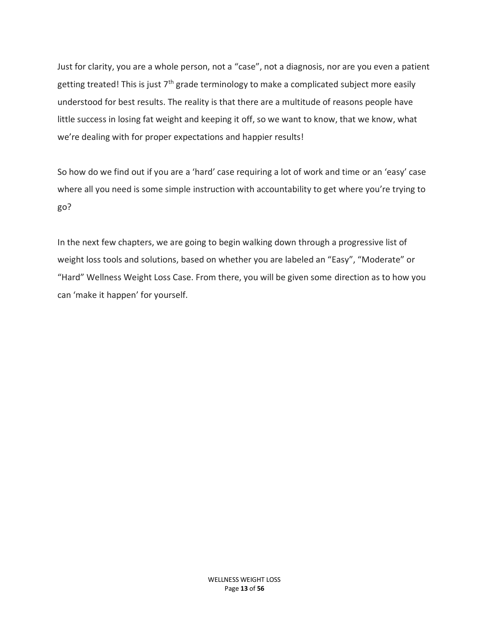Just for clarity, you are a whole person, not a "case", not a diagnosis, nor are you even a patient getting treated! This is just  $7<sup>th</sup>$  grade terminology to make a complicated subject more easily understood for best results. The reality is that there are a multitude of reasons people have little success in losing fat weight and keeping it off, so we want to know, that we know, what we're dealing with for proper expectations and happier results!

So how do we find out if you are a 'hard' case requiring a lot of work and time or an 'easy' case where all you need is some simple instruction with accountability to get where you're trying to go?

In the next few chapters, we are going to begin walking down through a progressive list of weight loss tools and solutions, based on whether you are labeled an "Easy", "Moderate" or "Hard" Wellness Weight Loss Case. From there, you will be given some direction as to how you can 'make it happen' for yourself.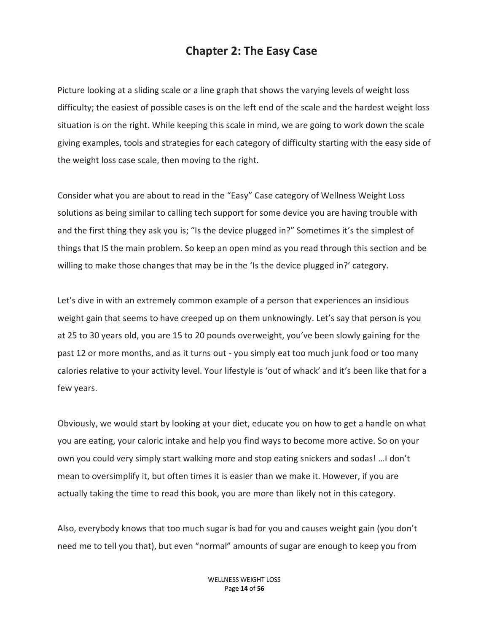## **Chapter 2: The Easy Case**

Picture looking at a sliding scale or a line graph that shows the varying levels of weight loss difficulty; the easiest of possible cases is on the left end of the scale and the hardest weight loss situation is on the right. While keeping this scale in mind, we are going to work down the scale giving examples, tools and strategies for each category of difficulty starting with the easy side of the weight loss case scale, then moving to the right.

Consider what you are about to read in the "Easy" Case category of Wellness Weight Loss solutions as being similar to calling tech support for some device you are having trouble with and the first thing they ask you is; "Is the device plugged in?" Sometimes it's the simplest of things that IS the main problem. So keep an open mind as you read through this section and be willing to make those changes that may be in the 'Is the device plugged in?' category.

Let's dive in with an extremely common example of a person that experiences an insidious weight gain that seems to have creeped up on them unknowingly. Let's say that person is you at 25 to 30 years old, you are 15 to 20 pounds overweight, you've been slowly gaining for the past 12 or more months, and as it turns out - you simply eat too much junk food or too many calories relative to your activity level. Your lifestyle is 'out of whack' and it's been like that for a few years.

Obviously, we would start by looking at your diet, educate you on how to get a handle on what you are eating, your caloric intake and help you find ways to become more active. So on your own you could very simply start walking more and stop eating snickers and sodas! …I don't mean to oversimplify it, but often times it is easier than we make it. However, if you are actually taking the time to read this book, you are more than likely not in this category.

Also, everybody knows that too much sugar is bad for you and causes weight gain (you don't need me to tell you that), but even "normal" amounts of sugar are enough to keep you from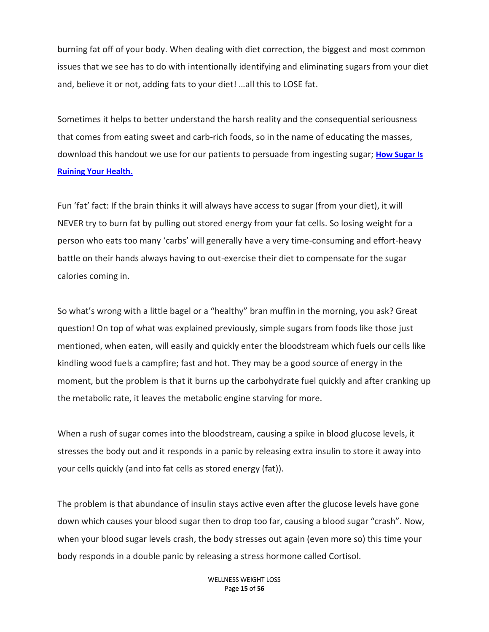burning fat off of your body. When dealing with diet correction, the biggest and most common issues that we see has to do with intentionally identifying and eliminating sugars from your diet and, believe it or not, adding fats to your diet! …all this to LOSE fat.

Sometimes it helps to better understand the harsh reality and the consequential seriousness that comes from eating sweet and carb-rich foods, so in the name of educating the masses, download this handout we use for our patients to persuade from ingesting sugar; **[How Sugar Is](https://www.thewnc.net/wp-content/uploads/2018/12/Sugar-Handout.pdf)  [Ruining Your](https://www.thewnc.net/wp-content/uploads/2018/12/Sugar-Handout.pdf) Health.**

Fun 'fat' fact: If the brain thinks it will always have access to sugar (from your diet), it will NEVER try to burn fat by pulling out stored energy from your fat cells. So losing weight for a person who eats too many 'carbs' will generally have a very time-consuming and effort-heavy battle on their hands always having to out-exercise their diet to compensate for the sugar calories coming in.

So what's wrong with a little bagel or a "healthy" bran muffin in the morning, you ask? Great question! On top of what was explained previously, simple sugars from foods like those just mentioned, when eaten, will easily and quickly enter the bloodstream which fuels our cells like kindling wood fuels a campfire; fast and hot. They may be a good source of energy in the moment, but the problem is that it burns up the carbohydrate fuel quickly and after cranking up the metabolic rate, it leaves the metabolic engine starving for more.

When a rush of sugar comes into the bloodstream, causing a spike in blood glucose levels, it stresses the body out and it responds in a panic by releasing extra insulin to store it away into your cells quickly (and into fat cells as stored energy (fat)).

The problem is that abundance of insulin stays active even after the glucose levels have gone down which causes your blood sugar then to drop too far, causing a blood sugar "crash". Now, when your blood sugar levels crash, the body stresses out again (even more so) this time your body responds in a double panic by releasing a stress hormone called Cortisol.

> WELLNESS WEIGHT LOSS Page **15** of **56**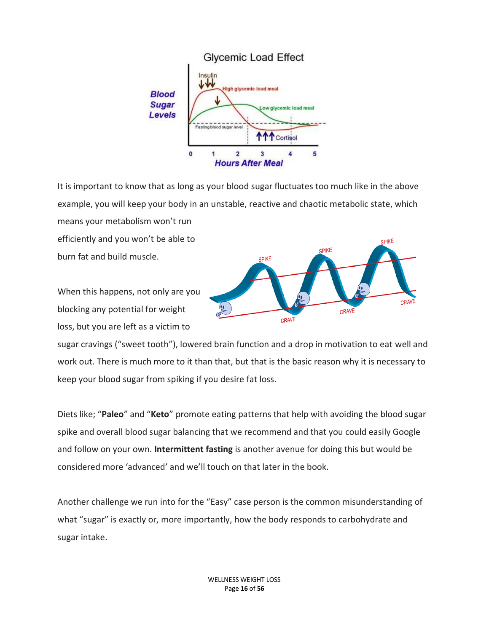

It is important to know that as long as your blood sugar fluctuates too much like in the above example, you will keep your body in an unstable, reactive and chaotic metabolic state, which means your metabolism won't run

efficiently and you won't be able to burn fat and build muscle.

When this happens, not only are you blocking any potential for weight loss, but you are left as a victim to



sugar cravings ("sweet tooth"), lowered brain function and a drop in motivation to eat well and work out. There is much more to it than that, but that is the basic reason why it is necessary to keep your blood sugar from spiking if you desire fat loss.

Diets like; "**Paleo**" and "**Keto**" promote eating patterns that help with avoiding the blood sugar spike and overall blood sugar balancing that we recommend and that you could easily Google and follow on your own. **Intermittent fasting** is another avenue for doing this but would be considered more 'advanced' and we'll touch on that later in the book.

Another challenge we run into for the "Easy" case person is the common misunderstanding of what "sugar" is exactly or, more importantly, how the body responds to carbohydrate and sugar intake.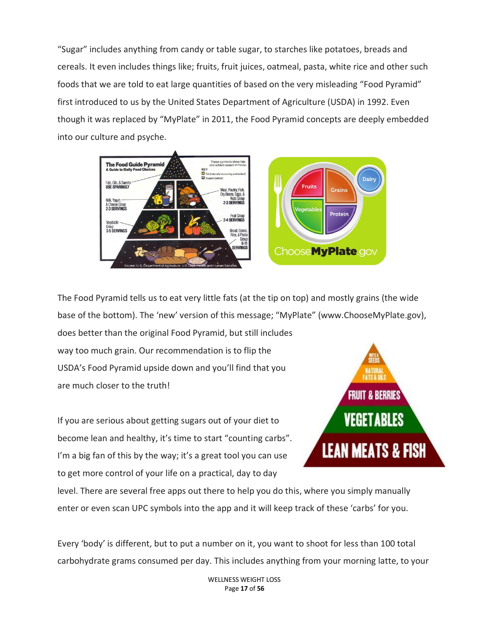"Sugar" includes anything from candy or table sugar, to starches like potatoes, breads and cereals. It even includes things like; fruits, fruit juices, oatmeal, pasta, white rice and other such foods that we are told to eat large quantities of based on the very misleading "Food Pyramid" first introduced to us by the United States Department of Agriculture (USDA) in 1992. Even though it was replaced by "MyPlate" in 2011, the Food Pyramid concepts are deeply embedded into our culture and psyche.



The Food Pyramid tells us to eat very little fats (at the tip on top) and mostly grains (the wide base of the bottom). The 'new' version of this message; "MyPlate" (www.ChooseMyPlate.gov),

does better than the original Food Pyramid, but still includes way too much grain. Our recommendation is to flip the USDA's Food Pyramid upside down and you'll find that you are much closer to the truth!

If you are serious about getting sugars out of your diet to become lean and healthy, it's time to start "counting carbs". I'm a big fan of this by the way; it's a great tool you can use to get more control of your life on a practical, day to day



level. There are several free apps out there to help you do this, where you simply manually enter or even scan UPC symbols into the app and it will keep track of these 'carbs' for you.

Every 'body' is different, but to put a number on it, you want to shoot for less than 100 total carbohydrate grams consumed per day. This includes anything from your morning latte, to your

> WELLNESS WEIGHT LOSS Page **17** of **56**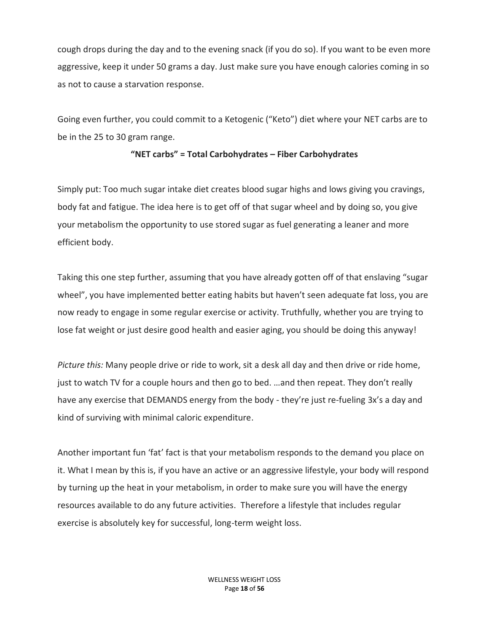cough drops during the day and to the evening snack (if you do so). If you want to be even more aggressive, keep it under 50 grams a day. Just make sure you have enough calories coming in so as not to cause a starvation response.

Going even further, you could commit to a Ketogenic ("Keto") diet where your NET carbs are to be in the 25 to 30 gram range.

#### **"NET carbs" = Total Carbohydrates – Fiber Carbohydrates**

Simply put: Too much sugar intake diet creates blood sugar highs and lows giving you cravings, body fat and fatigue. The idea here is to get off of that sugar wheel and by doing so, you give your metabolism the opportunity to use stored sugar as fuel generating a leaner and more efficient body.

Taking this one step further, assuming that you have already gotten off of that enslaving "sugar wheel", you have implemented better eating habits but haven't seen adequate fat loss, you are now ready to engage in some regular exercise or activity. Truthfully, whether you are trying to lose fat weight or just desire good health and easier aging, you should be doing this anyway!

*Picture this:* Many people drive or ride to work, sit a desk all day and then drive or ride home, just to watch TV for a couple hours and then go to bed. …and then repeat. They don't really have any exercise that DEMANDS energy from the body - they're just re-fueling 3x's a day and kind of surviving with minimal caloric expenditure.

Another important fun 'fat' fact is that your metabolism responds to the demand you place on it. What I mean by this is, if you have an active or an aggressive lifestyle, your body will respond by turning up the heat in your metabolism, in order to make sure you will have the energy resources available to do any future activities. Therefore a lifestyle that includes regular exercise is absolutely key for successful, long-term weight loss.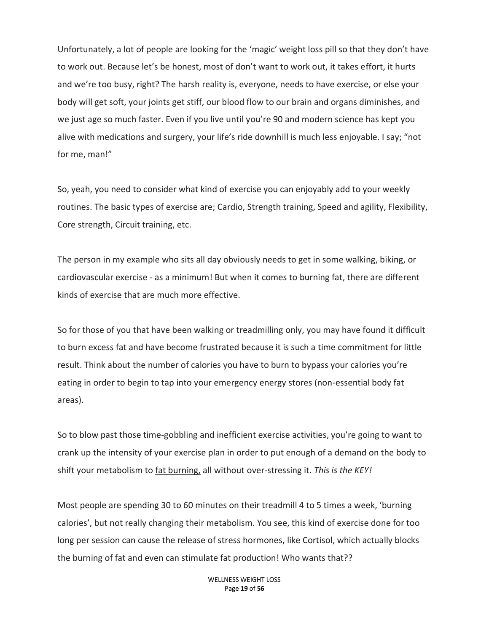Unfortunately, a lot of people are looking for the 'magic' weight loss pill so that they don't have to work out. Because let's be honest, most of don't want to work out, it takes effort, it hurts and we're too busy, right? The harsh reality is, everyone, needs to have exercise, or else your body will get soft, your joints get stiff, our blood flow to our brain and organs diminishes, and we just age so much faster. Even if you live until you're 90 and modern science has kept you alive with medications and surgery, your life's ride downhill is much less enjoyable. I say; "not for me, man!"

So, yeah, you need to consider what kind of exercise you can enjoyably add to your weekly routines. The basic types of exercise are; Cardio, Strength training, Speed and agility, Flexibility, Core strength, Circuit training, etc.

The person in my example who sits all day obviously needs to get in some walking, biking, or cardiovascular exercise - as a minimum! But when it comes to burning fat, there are different kinds of exercise that are much more effective.

So for those of you that have been walking or treadmilling only, you may have found it difficult to burn excess fat and have become frustrated because it is such a time commitment for little result. Think about the number of calories you have to burn to bypass your calories you're eating in order to begin to tap into your emergency energy stores (non-essential body fat areas).

So to blow past those time-gobbling and inefficient exercise activities, you're going to want to crank up the intensity of your exercise plan in order to put enough of a demand on the body to shift your metabolism to fat burning, all without over-stressing it. *This is the KEY!*

Most people are spending 30 to 60 minutes on their treadmill 4 to 5 times a week, 'burning calories', but not really changing their metabolism. You see, this kind of exercise done for too long per session can cause the release of stress hormones, like Cortisol, which actually blocks the burning of fat and even can stimulate fat production! Who wants that??

> WELLNESS WEIGHT LOSS Page **19** of **56**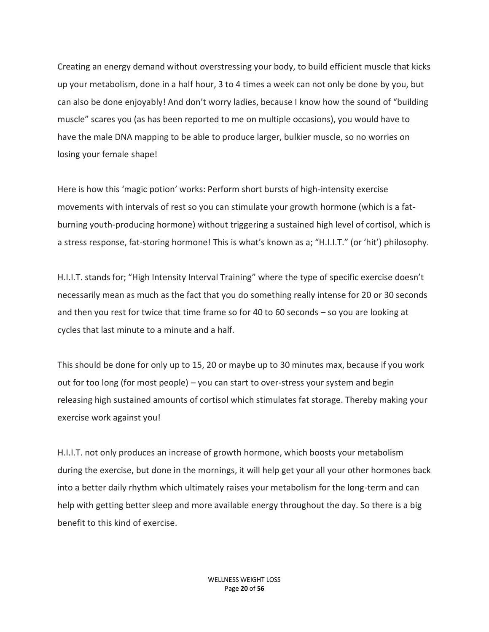Creating an energy demand without overstressing your body, to build efficient muscle that kicks up your metabolism, done in a half hour, 3 to 4 times a week can not only be done by you, but can also be done enjoyably! And don't worry ladies, because I know how the sound of "building muscle" scares you (as has been reported to me on multiple occasions), you would have to have the male DNA mapping to be able to produce larger, bulkier muscle, so no worries on losing your female shape!

Here is how this 'magic potion' works: Perform short bursts of high-intensity exercise movements with intervals of rest so you can stimulate your growth hormone (which is a fatburning youth-producing hormone) without triggering a sustained high level of cortisol, which is a stress response, fat-storing hormone! This is what's known as a; "H.I.I.T." (or 'hit') philosophy.

H.I.I.T. stands for; "High Intensity Interval Training" where the type of specific exercise doesn't necessarily mean as much as the fact that you do something really intense for 20 or 30 seconds and then you rest for twice that time frame so for 40 to 60 seconds – so you are looking at cycles that last minute to a minute and a half.

This should be done for only up to 15, 20 or maybe up to 30 minutes max, because if you work out for too long (for most people) – you can start to over-stress your system and begin releasing high sustained amounts of cortisol which stimulates fat storage. Thereby making your exercise work against you!

H.I.I.T. not only produces an increase of growth hormone, which boosts your metabolism during the exercise, but done in the mornings, it will help get your all your other hormones back into a better daily rhythm which ultimately raises your metabolism for the long-term and can help with getting better sleep and more available energy throughout the day. So there is a big benefit to this kind of exercise.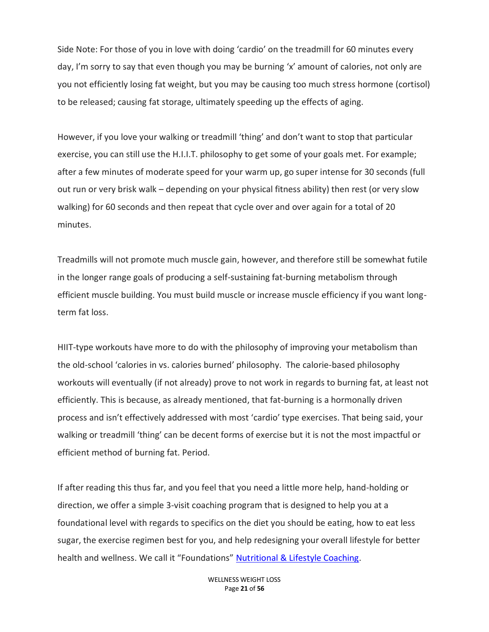Side Note: For those of you in love with doing 'cardio' on the treadmill for 60 minutes every day, I'm sorry to say that even though you may be burning 'x' amount of calories, not only are you not efficiently losing fat weight, but you may be causing too much stress hormone (cortisol) to be released; causing fat storage, ultimately speeding up the effects of aging.

However, if you love your walking or treadmill 'thing' and don't want to stop that particular exercise, you can still use the H.I.I.T. philosophy to get some of your goals met. For example; after a few minutes of moderate speed for your warm up, go super intense for 30 seconds (full out run or very brisk walk – depending on your physical fitness ability) then rest (or very slow walking) for 60 seconds and then repeat that cycle over and over again for a total of 20 minutes.

Treadmills will not promote much muscle gain, however, and therefore still be somewhat futile in the longer range goals of producing a self-sustaining fat-burning metabolism through efficient muscle building. You must build muscle or increase muscle efficiency if you want longterm fat loss.

HIIT-type workouts have more to do with the philosophy of improving your metabolism than the old-school 'calories in vs. calories burned' philosophy. The calorie-based philosophy workouts will eventually (if not already) prove to not work in regards to burning fat, at least not efficiently. This is because, as already mentioned, that fat-burning is a hormonally driven process and isn't effectively addressed with most 'cardio' type exercises. That being said, your walking or treadmill 'thing' can be decent forms of exercise but it is not the most impactful or efficient method of burning fat. Period.

If after reading this thus far, and you feel that you need a little more help, hand-holding or direction, we offer a simple 3-visit coaching program that is designed to help you at a foundational level with regards to specifics on the diet you should be eating, how to eat less sugar, the exercise regimen best for you, and help redesigning your overall lifestyle for better health and wellness. We call it "Foundations" [Nutritional & Lifestyle Coaching.](https://www.thewnc.net/nutritional-coaching/)

> WELLNESS WEIGHT LOSS Page **21** of **56**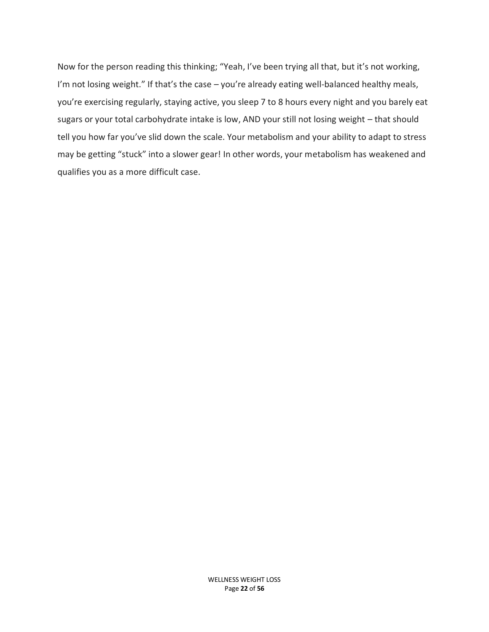Now for the person reading this thinking; "Yeah, I've been trying all that, but it's not working, I'm not losing weight." If that's the case - you're already eating well-balanced healthy meals, you're exercising regularly, staying active, you sleep 7 to 8 hours every night and you barely eat sugars or your total carbohydrate intake is low, AND your still not losing weight – that should tell you how far you've slid down the scale. Your metabolism and your ability to adapt to stress may be getting "stuck" into a slower gear! In other words, your metabolism has weakened and qualifies you as a more difficult case.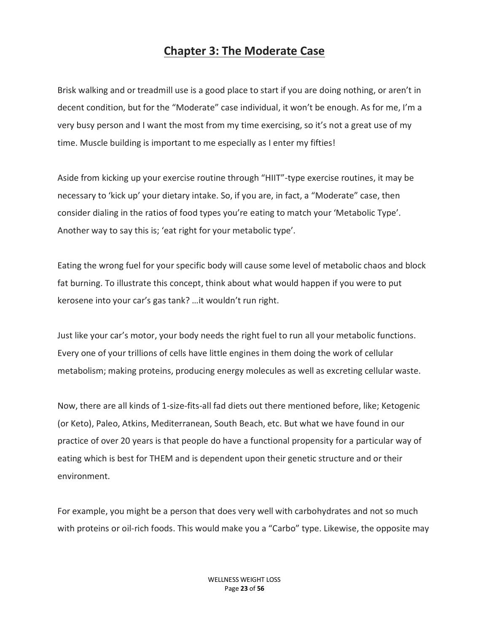## **Chapter 3: The Moderate Case**

Brisk walking and or treadmill use is a good place to start if you are doing nothing, or aren't in decent condition, but for the "Moderate" case individual, it won't be enough. As for me, I'm a very busy person and I want the most from my time exercising, so it's not a great use of my time. Muscle building is important to me especially as I enter my fifties!

Aside from kicking up your exercise routine through "HIIT"-type exercise routines, it may be necessary to 'kick up' your dietary intake. So, if you are, in fact, a "Moderate" case, then consider dialing in the ratios of food types you're eating to match your 'Metabolic Type'. Another way to say this is; 'eat right for your metabolic type'.

Eating the wrong fuel for your specific body will cause some level of metabolic chaos and block fat burning. To illustrate this concept, think about what would happen if you were to put kerosene into your car's gas tank? …it wouldn't run right.

Just like your car's motor, your body needs the right fuel to run all your metabolic functions. Every one of your trillions of cells have little engines in them doing the work of cellular metabolism; making proteins, producing energy molecules as well as excreting cellular waste.

Now, there are all kinds of 1-size-fits-all fad diets out there mentioned before, like; Ketogenic (or Keto), Paleo, Atkins, Mediterranean, South Beach, etc. But what we have found in our practice of over 20 years is that people do have a functional propensity for a particular way of eating which is best for THEM and is dependent upon their genetic structure and or their environment.

For example, you might be a person that does very well with carbohydrates and not so much with proteins or oil-rich foods. This would make you a "Carbo" type. Likewise, the opposite may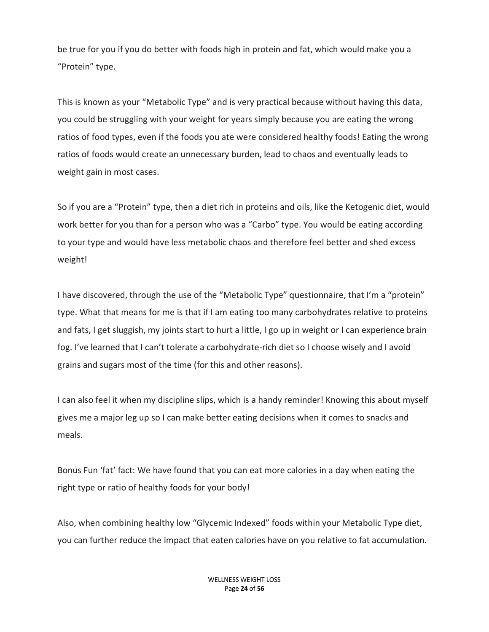be true for you if you do better with foods high in protein and fat, which would make you a "Protein" type.

This is known as your "Metabolic Type" and is very practical because without having this data, you could be struggling with your weight for years simply because you are eating the wrong ratios of food types, even if the foods you ate were considered healthy foods! Eating the wrong ratios of foods would create an unnecessary burden, lead to chaos and eventually leads to weight gain in most cases.

So if you are a "Protein" type, then a diet rich in proteins and oils, like the Ketogenic diet, would work better for you than for a person who was a "Carbo" type. You would be eating according to your type and would have less metabolic chaos and therefore feel better and shed excess weight!

I have discovered, through the use of the "Metabolic Type" questionnaire, that I'm a "protein" type. What that means for me is that if I am eating too many carbohydrates relative to proteins and fats, I get sluggish, my joints start to hurt a little, I go up in weight or I can experience brain fog. I've learned that I can't tolerate a carbohydrate-rich diet so I choose wisely and I avoid grains and sugars most of the time (for this and other reasons).

I can also feel it when my discipline slips, which is a handy reminder! Knowing this about myself gives me a major leg up so I can make better eating decisions when it comes to snacks and meals.

Bonus Fun 'fat' fact: We have found that you can eat more calories in a day when eating the right type or ratio of healthy foods for your body!

Also, when combining healthy low "Glycemic Indexed" foods within your Metabolic Type diet, you can further reduce the impact that eaten calories have on you relative to fat accumulation.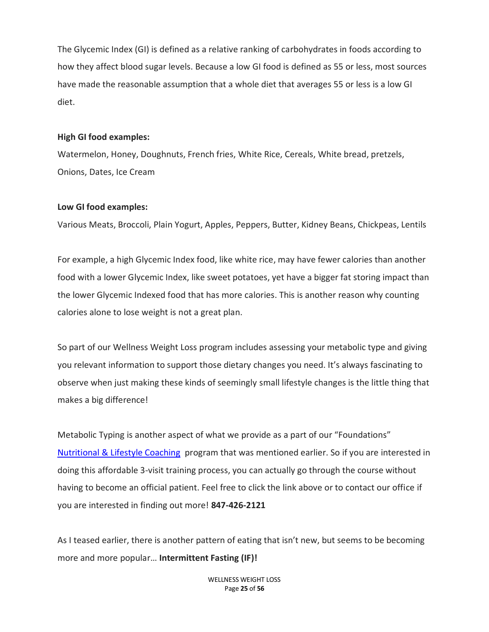The Glycemic Index (GI) is defined as a relative ranking of carbohydrates in foods according to how they affect blood sugar levels. Because a low GI food is defined as 55 or less, most sources have made the reasonable assumption that a whole diet that averages 55 or less is a low GI diet.

#### **High GI food examples:**

Watermelon, Honey, Doughnuts, French fries, White Rice, Cereals, White bread, pretzels, Onions, Dates, Ice Cream

#### **Low GI food examples:**

Various Meats, Broccoli, Plain Yogurt, Apples, Peppers, Butter, Kidney Beans, Chickpeas, Lentils

For example, a high Glycemic Index food, like white rice, may have fewer calories than another food with a lower Glycemic Index, like sweet potatoes, yet have a bigger fat storing impact than the lower Glycemic Indexed food that has more calories. This is another reason why counting calories alone to lose weight is not a great plan.

So part of our Wellness Weight Loss program includes assessing your metabolic type and giving you relevant information to support those dietary changes you need. It's always fascinating to observe when just making these kinds of seemingly small lifestyle changes is the little thing that makes a big difference!

Metabolic Typing is another aspect of what we provide as a part of our "Foundations" [Nutritional & Lifestyle Coaching](https://www.thewnc.net/nutritional-coaching/) program that was mentioned earlier. So if you are interested in doing this affordable 3-visit training process, you can actually go through the course without having to become an official patient. Feel free to click the link above or to contact our office if you are interested in finding out more! **847-426-2121**

As I teased earlier, there is another pattern of eating that isn't new, but seems to be becoming more and more popular… **Intermittent Fasting (IF)!**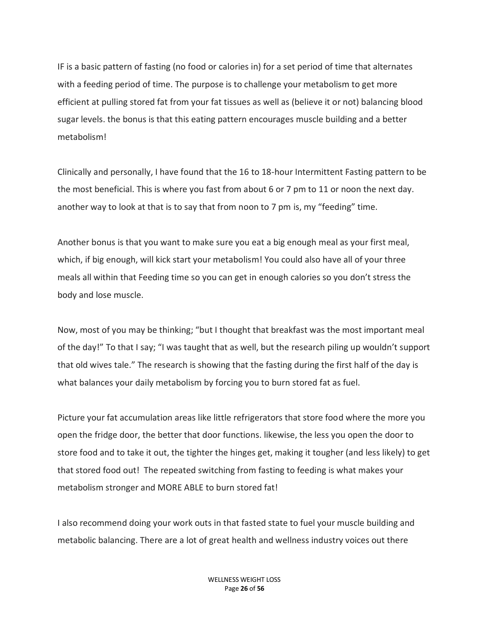IF is a basic pattern of fasting (no food or calories in) for a set period of time that alternates with a feeding period of time. The purpose is to challenge your metabolism to get more efficient at pulling stored fat from your fat tissues as well as (believe it or not) balancing blood sugar levels. the bonus is that this eating pattern encourages muscle building and a better metabolism!

Clinically and personally, I have found that the 16 to 18-hour Intermittent Fasting pattern to be the most beneficial. This is where you fast from about 6 or 7 pm to 11 or noon the next day. another way to look at that is to say that from noon to 7 pm is, my "feeding" time.

Another bonus is that you want to make sure you eat a big enough meal as your first meal, which, if big enough, will kick start your metabolism! You could also have all of your three meals all within that Feeding time so you can get in enough calories so you don't stress the body and lose muscle.

Now, most of you may be thinking; "but I thought that breakfast was the most important meal of the day!" To that I say; "I was taught that as well, but the research piling up wouldn't support that old wives tale." The research is showing that the fasting during the first half of the day is what balances your daily metabolism by forcing you to burn stored fat as fuel.

Picture your fat accumulation areas like little refrigerators that store food where the more you open the fridge door, the better that door functions. likewise, the less you open the door to store food and to take it out, the tighter the hinges get, making it tougher (and less likely) to get that stored food out! The repeated switching from fasting to feeding is what makes your metabolism stronger and MORE ABLE to burn stored fat!

I also recommend doing your work outs in that fasted state to fuel your muscle building and metabolic balancing. There are a lot of great health and wellness industry voices out there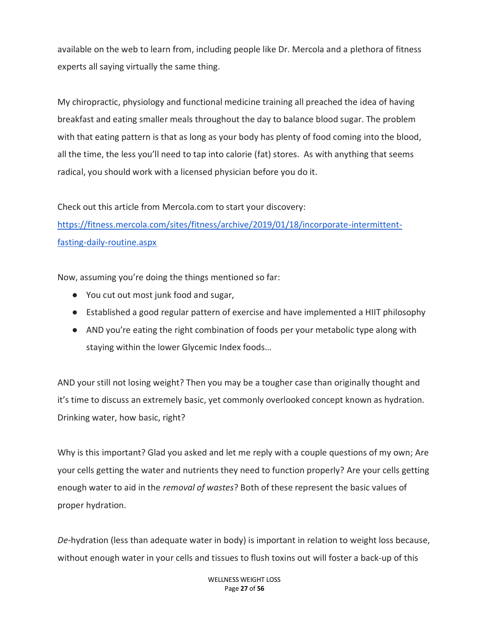available on the web to learn from, including people like Dr. Mercola and a plethora of fitness experts all saying virtually the same thing.

My chiropractic, physiology and functional medicine training all preached the idea of having breakfast and eating smaller meals throughout the day to balance blood sugar. The problem with that eating pattern is that as long as your body has plenty of food coming into the blood, all the time, the less you'll need to tap into calorie (fat) stores. As with anything that seems radical, you should work with a licensed physician before you do it.

Check out this article from Mercola.com to start your discovery:

[https://fitness.mercola.com/sites/fitness/archive/2019/01/18/incorporate-intermittent](https://fitness.mercola.com/sites/fitness/archive/2019/01/18/incorporate-intermittent-fasting-daily-routine.aspx)[fasting-daily-routine.aspx](https://fitness.mercola.com/sites/fitness/archive/2019/01/18/incorporate-intermittent-fasting-daily-routine.aspx)

Now, assuming you're doing the things mentioned so far:

- You cut out most junk food and sugar,
- Established a good regular pattern of exercise and have implemented a HIIT philosophy
- AND you're eating the right combination of foods per your metabolic type along with staying within the lower Glycemic Index foods…

AND your still not losing weight? Then you may be a tougher case than originally thought and it's time to discuss an extremely basic, yet commonly overlooked concept known as hydration. Drinking water, how basic, right?

Why is this important? Glad you asked and let me reply with a couple questions of my own; Are your cells getting the water and nutrients they need to function properly? Are your cells getting enough water to aid in the *removal of wastes*? Both of these represent the basic values of proper hydration.

*De*-hydration (less than adequate water in body) is important in relation to weight loss because, without enough water in your cells and tissues to flush toxins out will foster a back-up of this

> WELLNESS WEIGHT LOSS Page **27** of **56**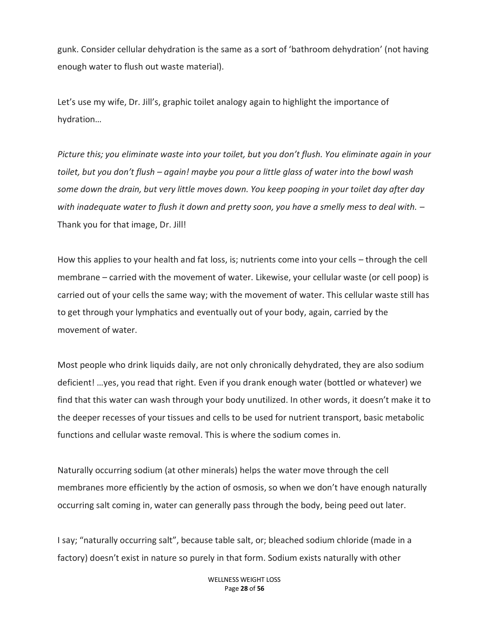gunk. Consider cellular dehydration is the same as a sort of 'bathroom dehydration' (not having enough water to flush out waste material).

Let's use my wife, Dr. Jill's, graphic toilet analogy again to highlight the importance of hydration…

*Picture this; you eliminate waste into your toilet, but you don't flush. You eliminate again in your toilet, but you don't flush – again! maybe you pour a little glass of water into the bowl wash some down the drain, but very little moves down. You keep pooping in your toilet day after day with inadequate water to flush it down and pretty soon, you have a smelly mess to deal with.* – Thank you for that image, Dr. Jill!

How this applies to your health and fat loss, is; nutrients come into your cells – through the cell membrane – carried with the movement of water. Likewise, your cellular waste (or cell poop) is carried out of your cells the same way; with the movement of water. This cellular waste still has to get through your lymphatics and eventually out of your body, again, carried by the movement of water.

Most people who drink liquids daily, are not only chronically dehydrated, they are also sodium deficient! …yes, you read that right. Even if you drank enough water (bottled or whatever) we find that this water can wash through your body unutilized. In other words, it doesn't make it to the deeper recesses of your tissues and cells to be used for nutrient transport, basic metabolic functions and cellular waste removal. This is where the sodium comes in.

Naturally occurring sodium (at other minerals) helps the water move through the cell membranes more efficiently by the action of osmosis, so when we don't have enough naturally occurring salt coming in, water can generally pass through the body, being peed out later.

I say; "naturally occurring salt", because table salt, or; bleached sodium chloride (made in a factory) doesn't exist in nature so purely in that form. Sodium exists naturally with other

> WELLNESS WEIGHT LOSS Page **28** of **56**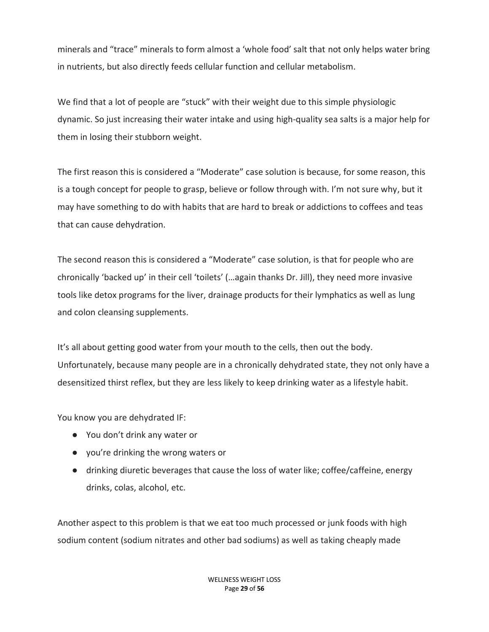minerals and "trace" minerals to form almost a 'whole food' salt that not only helps water bring in nutrients, but also directly feeds cellular function and cellular metabolism.

We find that a lot of people are "stuck" with their weight due to this simple physiologic dynamic. So just increasing their water intake and using high-quality sea salts is a major help for them in losing their stubborn weight.

The first reason this is considered a "Moderate" case solution is because, for some reason, this is a tough concept for people to grasp, believe or follow through with. I'm not sure why, but it may have something to do with habits that are hard to break or addictions to coffees and teas that can cause dehydration.

The second reason this is considered a "Moderate" case solution, is that for people who are chronically 'backed up' in their cell 'toilets' (…again thanks Dr. Jill), they need more invasive tools like detox programs for the liver, drainage products for their lymphatics as well as lung and colon cleansing supplements.

It's all about getting good water from your mouth to the cells, then out the body. Unfortunately, because many people are in a chronically dehydrated state, they not only have a desensitized thirst reflex, but they are less likely to keep drinking water as a lifestyle habit.

You know you are dehydrated IF:

- You don't drink any water or
- you're drinking the wrong waters or
- drinking diuretic beverages that cause the loss of water like; coffee/caffeine, energy drinks, colas, alcohol, etc.

Another aspect to this problem is that we eat too much processed or junk foods with high sodium content (sodium nitrates and other bad sodiums) as well as taking cheaply made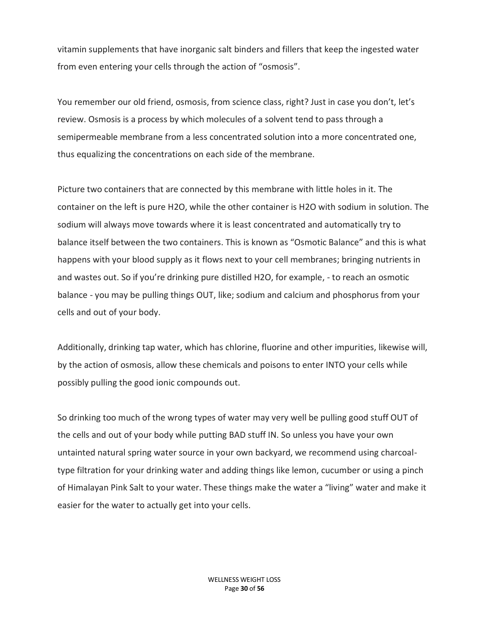vitamin supplements that have inorganic salt binders and fillers that keep the ingested water from even entering your cells through the action of "osmosis".

You remember our old friend, osmosis, from science class, right? Just in case you don't, let's review. Osmosis is a process by which molecules of a solvent tend to pass through a semipermeable membrane from a less concentrated solution into a more concentrated one, thus equalizing the concentrations on each side of the membrane.

Picture two containers that are connected by this membrane with little holes in it. The container on the left is pure H2O, while the other container is H2O with sodium in solution. The sodium will always move towards where it is least concentrated and automatically try to balance itself between the two containers. This is known as "Osmotic Balance" and this is what happens with your blood supply as it flows next to your cell membranes; bringing nutrients in and wastes out. So if you're drinking pure distilled H2O, for example, - to reach an osmotic balance - you may be pulling things OUT, like; sodium and calcium and phosphorus from your cells and out of your body.

Additionally, drinking tap water, which has chlorine, fluorine and other impurities, likewise will, by the action of osmosis, allow these chemicals and poisons to enter INTO your cells while possibly pulling the good ionic compounds out.

So drinking too much of the wrong types of water may very well be pulling good stuff OUT of the cells and out of your body while putting BAD stuff IN. So unless you have your own untainted natural spring water source in your own backyard, we recommend using charcoaltype filtration for your drinking water and adding things like lemon, cucumber or using a pinch of Himalayan Pink Salt to your water. These things make the water a "living" water and make it easier for the water to actually get into your cells.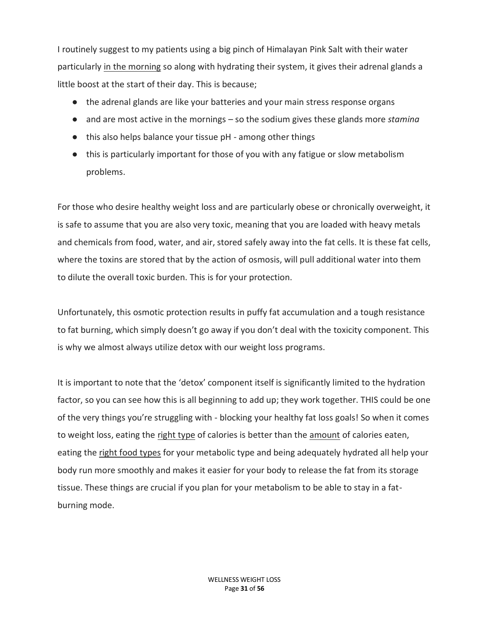I routinely suggest to my patients using a big pinch of Himalayan Pink Salt with their water particularly in the morning so along with hydrating their system, it gives their adrenal glands a little boost at the start of their day. This is because;

- the adrenal glands are like your batteries and your main stress response organs
- and are most active in the mornings so the sodium gives these glands more *stamina*
- this also helps balance your tissue pH among other things
- this is particularly important for those of you with any fatigue or slow metabolism problems.

For those who desire healthy weight loss and are particularly obese or chronically overweight, it is safe to assume that you are also very toxic, meaning that you are loaded with heavy metals and chemicals from food, water, and air, stored safely away into the fat cells. It is these fat cells, where the toxins are stored that by the action of osmosis, will pull additional water into them to dilute the overall toxic burden. This is for your protection.

Unfortunately, this osmotic protection results in puffy fat accumulation and a tough resistance to fat burning, which simply doesn't go away if you don't deal with the toxicity component. This is why we almost always utilize detox with our weight loss programs.

It is important to note that the 'detox' component itself is significantly limited to the hydration factor, so you can see how this is all beginning to add up; they work together. THIS could be one of the very things you're struggling with - blocking your healthy fat loss goals! So when it comes to weight loss, eating the right type of calories is better than the amount of calories eaten, eating the right food types for your metabolic type and being adequately hydrated all help your body run more smoothly and makes it easier for your body to release the fat from its storage tissue. These things are crucial if you plan for your metabolism to be able to stay in a fatburning mode.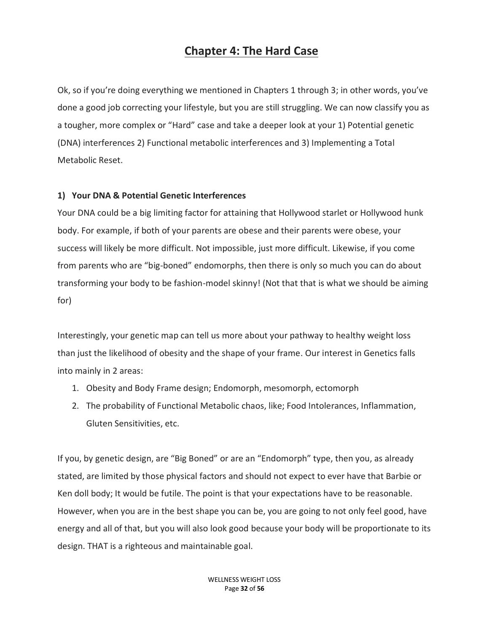## **Chapter 4: The Hard Case**

Ok, so if you're doing everything we mentioned in Chapters 1 through 3; in other words, you've done a good job correcting your lifestyle, but you are still struggling. We can now classify you as a tougher, more complex or "Hard" case and take a deeper look at your 1) Potential genetic (DNA) interferences 2) Functional metabolic interferences and 3) Implementing a Total Metabolic Reset.

## **1) Your DNA & Potential Genetic Interferences**

Your DNA could be a big limiting factor for attaining that Hollywood starlet or Hollywood hunk body. For example, if both of your parents are obese and their parents were obese, your success will likely be more difficult. Not impossible, just more difficult. Likewise, if you come from parents who are "big-boned" endomorphs, then there is only so much you can do about transforming your body to be fashion-model skinny! (Not that that is what we should be aiming for)

Interestingly, your genetic map can tell us more about your pathway to healthy weight loss than just the likelihood of obesity and the shape of your frame. Our interest in Genetics falls into mainly in 2 areas:

- 1. Obesity and Body Frame design; Endomorph, mesomorph, ectomorph
- 2. The probability of Functional Metabolic chaos, like; Food Intolerances, Inflammation, Gluten Sensitivities, etc.

If you, by genetic design, are "Big Boned" or are an "Endomorph" type, then you, as already stated, are limited by those physical factors and should not expect to ever have that Barbie or Ken doll body; It would be futile. The point is that your expectations have to be reasonable. However, when you are in the best shape you can be, you are going to not only feel good, have energy and all of that, but you will also look good because your body will be proportionate to its design. THAT is a righteous and maintainable goal.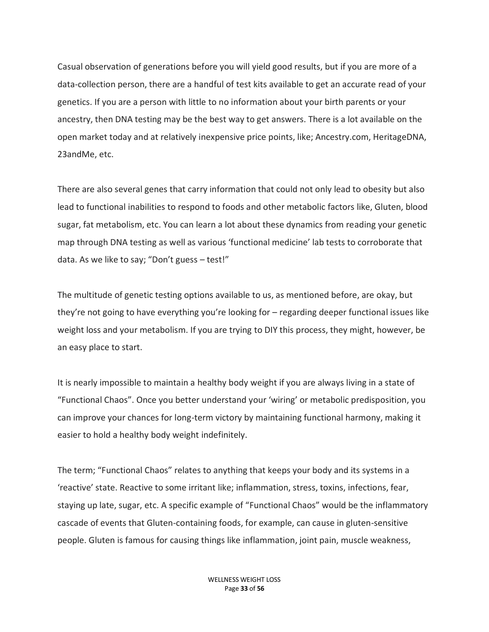Casual observation of generations before you will yield good results, but if you are more of a data-collection person, there are a handful of test kits available to get an accurate read of your genetics. If you are a person with little to no information about your birth parents or your ancestry, then DNA testing may be the best way to get answers. There is a lot available on the open market today and at relatively inexpensive price points, like; Ancestry.com, HeritageDNA, 23andMe, etc.

There are also several genes that carry information that could not only lead to obesity but also lead to functional inabilities to respond to foods and other metabolic factors like, Gluten, blood sugar, fat metabolism, etc. You can learn a lot about these dynamics from reading your genetic map through DNA testing as well as various 'functional medicine' lab tests to corroborate that data. As we like to say; "Don't guess – test!"

The multitude of genetic testing options available to us, as mentioned before, are okay, but they're not going to have everything you're looking for – regarding deeper functional issues like weight loss and your metabolism. If you are trying to DIY this process, they might, however, be an easy place to start.

It is nearly impossible to maintain a healthy body weight if you are always living in a state of "Functional Chaos". Once you better understand your 'wiring' or metabolic predisposition, you can improve your chances for long-term victory by maintaining functional harmony, making it easier to hold a healthy body weight indefinitely.

The term; "Functional Chaos" relates to anything that keeps your body and its systems in a 'reactive' state. Reactive to some irritant like; inflammation, stress, toxins, infections, fear, staying up late, sugar, etc. A specific example of "Functional Chaos" would be the inflammatory cascade of events that Gluten-containing foods, for example, can cause in gluten-sensitive people. Gluten is famous for causing things like inflammation, joint pain, muscle weakness,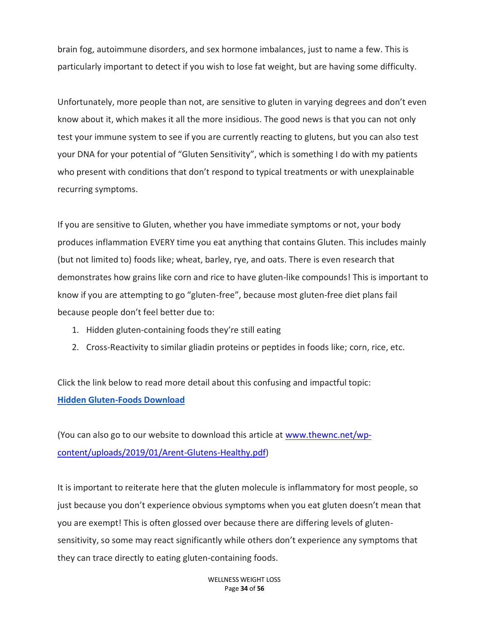brain fog, autoimmune disorders, and sex hormone imbalances, just to name a few. This is particularly important to detect if you wish to lose fat weight, but are having some difficulty.

Unfortunately, more people than not, are sensitive to gluten in varying degrees and don't even know about it, which makes it all the more insidious. The good news is that you can not only test your immune system to see if you are currently reacting to glutens, but you can also test your DNA for your potential of "Gluten Sensitivity", which is something I do with my patients who present with conditions that don't respond to typical treatments or with unexplainable recurring symptoms.

If you are sensitive to Gluten, whether you have immediate symptoms or not, your body produces inflammation EVERY time you eat anything that contains Gluten. This includes mainly (but not limited to) foods like; wheat, barley, rye, and oats. There is even research that demonstrates how grains like corn and rice to have gluten-like compounds! This is important to know if you are attempting to go "gluten-free", because most gluten-free diet plans fail because people don't feel better due to:

- 1. Hidden gluten-containing foods they're still eating
- 2. Cross-Reactivity to similar gliadin proteins or peptides in foods like; corn, rice, etc.

Click the link below to read more detail about this confusing and impactful topic: **[Hidden Gluten-Foods Download](https://www.thewnc.net/wp-content/uploads/2019/01/Arent-Glutens-Healthy.pdf)**

(You can also go to our website to download this article at [www.thewnc.net/wp](http://www.thewnc.net/wp-content/uploads/2019/01/Arent-Glutens-Healthy.pdf)[content/uploads/2019/01/Arent-Glutens-Healthy.pdf\)](http://www.thewnc.net/wp-content/uploads/2019/01/Arent-Glutens-Healthy.pdf)

It is important to reiterate here that the gluten molecule is inflammatory for most people, so just because you don't experience obvious symptoms when you eat gluten doesn't mean that you are exempt! This is often glossed over because there are differing levels of glutensensitivity, so some may react significantly while others don't experience any symptoms that they can trace directly to eating gluten-containing foods.

> WELLNESS WEIGHT LOSS Page **34** of **56**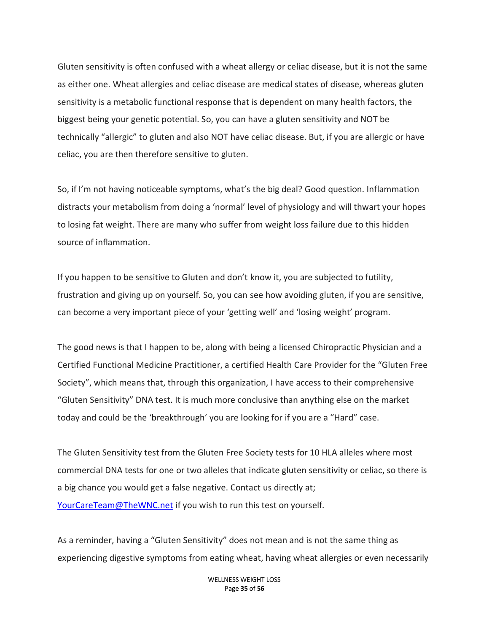Gluten sensitivity is often confused with a wheat allergy or celiac disease, but it is not the same as either one. Wheat allergies and celiac disease are medical states of disease, whereas gluten sensitivity is a metabolic functional response that is dependent on many health factors, the biggest being your genetic potential. So, you can have a gluten sensitivity and NOT be technically "allergic" to gluten and also NOT have celiac disease. But, if you are allergic or have celiac, you are then therefore sensitive to gluten.

So, if I'm not having noticeable symptoms, what's the big deal? Good question. Inflammation distracts your metabolism from doing a 'normal' level of physiology and will thwart your hopes to losing fat weight. There are many who suffer from weight loss failure due to this hidden source of inflammation.

If you happen to be sensitive to Gluten and don't know it, you are subjected to futility, frustration and giving up on yourself. So, you can see how avoiding gluten, if you are sensitive, can become a very important piece of your 'getting well' and 'losing weight' program.

The good news is that I happen to be, along with being a licensed Chiropractic Physician and a Certified Functional Medicine Practitioner, a certified Health Care Provider for the "Gluten Free Society", which means that, through this organization, I have access to their comprehensive "Gluten Sensitivity" DNA test. It is much more conclusive than anything else on the market today and could be the 'breakthrough' you are looking for if you are a "Hard" case.

The Gluten Sensitivity test from the Gluten Free Society tests for 10 HLA alleles where most commercial DNA tests for one or two alleles that indicate gluten sensitivity or celiac, so there is a big chance you would get a false negative. Contact us directly at; [YourCareTeam@TheWNC.net](mailto:YourCareTeam@TheWNC.net) if you wish to run this test on yourself.

As a reminder, having a "Gluten Sensitivity" does not mean and is not the same thing as experiencing digestive symptoms from eating wheat, having wheat allergies or even necessarily

> WELLNESS WEIGHT LOSS Page **35** of **56**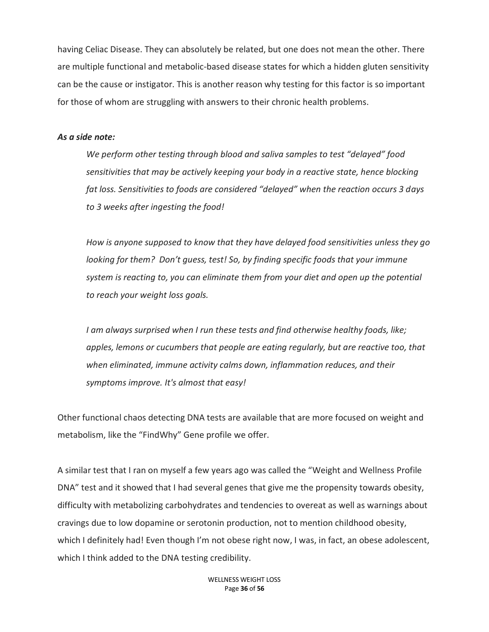having Celiac Disease. They can absolutely be related, but one does not mean the other. There are multiple functional and metabolic-based disease states for which a hidden gluten sensitivity can be the cause or instigator. This is another reason why testing for this factor is so important for those of whom are struggling with answers to their chronic health problems.

#### *As a side note:*

*We perform other testing through blood and saliva samples to test "delayed" food sensitivities that may be actively keeping your body in a reactive state, hence blocking fat loss. Sensitivities to foods are considered "delayed" when the reaction occurs 3 days to 3 weeks after ingesting the food!* 

*How is anyone supposed to know that they have delayed food sensitivities unless they go looking for them? Don't guess, test! So, by finding specific foods that your immune system is reacting to, you can eliminate them from your diet and open up the potential to reach your weight loss goals.* 

*I am always surprised when I run these tests and find otherwise healthy foods, like; apples, lemons or cucumbers that people are eating regularly, but are reactive too, that when eliminated, immune activity calms down, inflammation reduces, and their symptoms improve. It's almost that easy!*

Other functional chaos detecting DNA tests are available that are more focused on weight and metabolism, like the "FindWhy" Gene profile we offer.

A similar test that I ran on myself a few years ago was called the "Weight and Wellness Profile DNA" test and it showed that I had several genes that give me the propensity towards obesity, difficulty with metabolizing carbohydrates and tendencies to overeat as well as warnings about cravings due to low dopamine or serotonin production, not to mention childhood obesity, which I definitely had! Even though I'm not obese right now, I was, in fact, an obese adolescent, which I think added to the DNA testing credibility.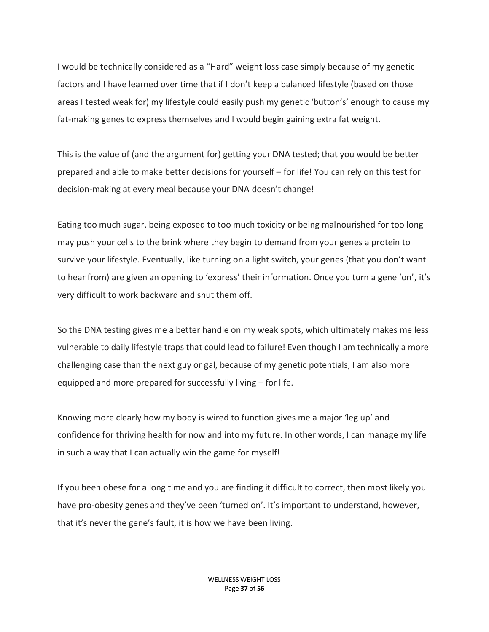I would be technically considered as a "Hard" weight loss case simply because of my genetic factors and I have learned over time that if I don't keep a balanced lifestyle (based on those areas I tested weak for) my lifestyle could easily push my genetic 'button's' enough to cause my fat-making genes to express themselves and I would begin gaining extra fat weight.

This is the value of (and the argument for) getting your DNA tested; that you would be better prepared and able to make better decisions for yourself – for life! You can rely on this test for decision-making at every meal because your DNA doesn't change!

Eating too much sugar, being exposed to too much toxicity or being malnourished for too long may push your cells to the brink where they begin to demand from your genes a protein to survive your lifestyle. Eventually, like turning on a light switch, your genes (that you don't want to hear from) are given an opening to 'express' their information. Once you turn a gene 'on', it's very difficult to work backward and shut them off.

So the DNA testing gives me a better handle on my weak spots, which ultimately makes me less vulnerable to daily lifestyle traps that could lead to failure! Even though I am technically a more challenging case than the next guy or gal, because of my genetic potentials, I am also more equipped and more prepared for successfully living – for life.

Knowing more clearly how my body is wired to function gives me a major 'leg up' and confidence for thriving health for now and into my future. In other words, I can manage my life in such a way that I can actually win the game for myself!

If you been obese for a long time and you are finding it difficult to correct, then most likely you have pro-obesity genes and they've been 'turned on'. It's important to understand, however, that it's never the gene's fault, it is how we have been living.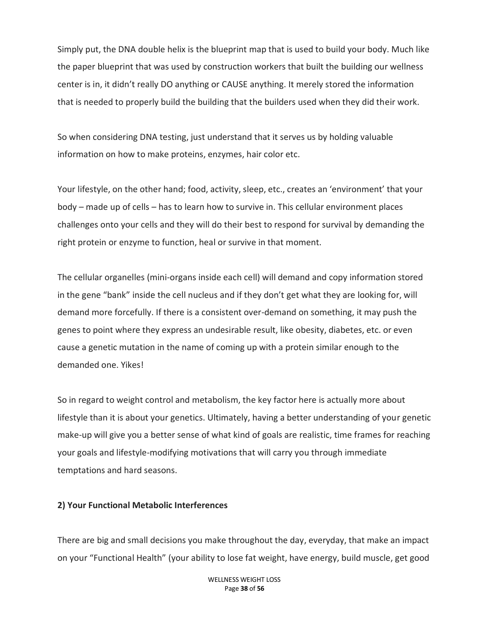Simply put, the DNA double helix is the blueprint map that is used to build your body. Much like the paper blueprint that was used by construction workers that built the building our wellness center is in, it didn't really DO anything or CAUSE anything. It merely stored the information that is needed to properly build the building that the builders used when they did their work.

So when considering DNA testing, just understand that it serves us by holding valuable information on how to make proteins, enzymes, hair color etc.

Your lifestyle, on the other hand; food, activity, sleep, etc., creates an 'environment' that your body – made up of cells – has to learn how to survive in. This cellular environment places challenges onto your cells and they will do their best to respond for survival by demanding the right protein or enzyme to function, heal or survive in that moment.

The cellular organelles (mini-organs inside each cell) will demand and copy information stored in the gene "bank" inside the cell nucleus and if they don't get what they are looking for, will demand more forcefully. If there is a consistent over-demand on something, it may push the genes to point where they express an undesirable result, like obesity, diabetes, etc. or even cause a genetic mutation in the name of coming up with a protein similar enough to the demanded one. Yikes!

So in regard to weight control and metabolism, the key factor here is actually more about lifestyle than it is about your genetics. Ultimately, having a better understanding of your genetic make-up will give you a better sense of what kind of goals are realistic, time frames for reaching your goals and lifestyle-modifying motivations that will carry you through immediate temptations and hard seasons.

#### **2) Your Functional Metabolic Interferences**

There are big and small decisions you make throughout the day, everyday, that make an impact on your "Functional Health" (your ability to lose fat weight, have energy, build muscle, get good

> WELLNESS WEIGHT LOSS Page **38** of **56**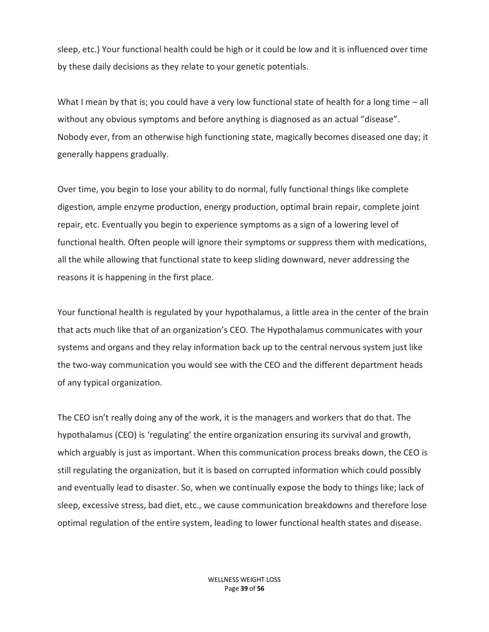sleep, etc.) Your functional health could be high or it could be low and it is influenced over time by these daily decisions as they relate to your genetic potentials.

What I mean by that is; you could have a very low functional state of health for a long time – all without any obvious symptoms and before anything is diagnosed as an actual "disease". Nobody ever, from an otherwise high functioning state, magically becomes diseased one day; it generally happens gradually.

Over time, you begin to lose your ability to do normal, fully functional things like complete digestion, ample enzyme production, energy production, optimal brain repair, complete joint repair, etc. Eventually you begin to experience symptoms as a sign of a lowering level of functional health. Often people will ignore their symptoms or suppress them with medications, all the while allowing that functional state to keep sliding downward, never addressing the reasons it is happening in the first place.

Your functional health is regulated by your hypothalamus, a little area in the center of the brain that acts much like that of an organization's CEO. The Hypothalamus communicates with your systems and organs and they relay information back up to the central nervous system just like the two-way communication you would see with the CEO and the different department heads of any typical organization.

The CEO isn't really doing any of the work, it is the managers and workers that do that. The hypothalamus (CEO) is 'regulating' the entire organization ensuring its survival and growth, which arguably is just as important. When this communication process breaks down, the CEO is still regulating the organization, but it is based on corrupted information which could possibly and eventually lead to disaster. So, when we continually expose the body to things like; lack of sleep, excessive stress, bad diet, etc., we cause communication breakdowns and therefore lose optimal regulation of the entire system, leading to lower functional health states and disease.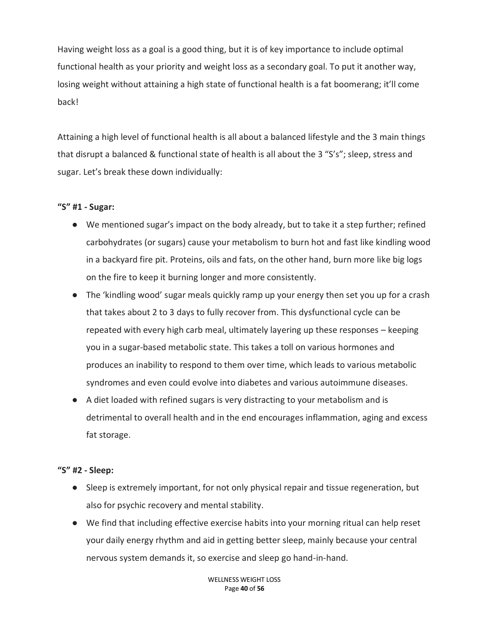Having weight loss as a goal is a good thing, but it is of key importance to include optimal functional health as your priority and weight loss as a secondary goal. To put it another way, losing weight without attaining a high state of functional health is a fat boomerang; it'll come back!

Attaining a high level of functional health is all about a balanced lifestyle and the 3 main things that disrupt a balanced & functional state of health is all about the 3 "S's"; sleep, stress and sugar. Let's break these down individually:

## **"S" #1 - Sugar:**

- We mentioned sugar's impact on the body already, but to take it a step further; refined carbohydrates (or sugars) cause your metabolism to burn hot and fast like kindling wood in a backyard fire pit. Proteins, oils and fats, on the other hand, burn more like big logs on the fire to keep it burning longer and more consistently.
- The 'kindling wood' sugar meals quickly ramp up your energy then set you up for a crash that takes about 2 to 3 days to fully recover from. This dysfunctional cycle can be repeated with every high carb meal, ultimately layering up these responses – keeping you in a sugar-based metabolic state. This takes a toll on various hormones and produces an inability to respond to them over time, which leads to various metabolic syndromes and even could evolve into diabetes and various autoimmune diseases.
- A diet loaded with refined sugars is very distracting to your metabolism and is detrimental to overall health and in the end encourages inflammation, aging and excess fat storage.

## **"S" #2 - Sleep:**

- Sleep is extremely important, for not only physical repair and tissue regeneration, but also for psychic recovery and mental stability.
- We find that including effective exercise habits into your morning ritual can help reset your daily energy rhythm and aid in getting better sleep, mainly because your central nervous system demands it, so exercise and sleep go hand-in-hand.

WELLNESS WEIGHT LOSS Page **40** of **56**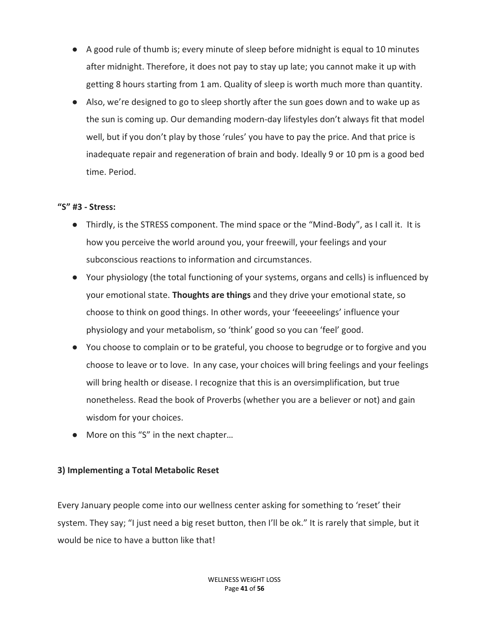- A good rule of thumb is; every minute of sleep before midnight is equal to 10 minutes after midnight. Therefore, it does not pay to stay up late; you cannot make it up with getting 8 hours starting from 1 am. Quality of sleep is worth much more than quantity.
- Also, we're designed to go to sleep shortly after the sun goes down and to wake up as the sun is coming up. Our demanding modern-day lifestyles don't always fit that model well, but if you don't play by those 'rules' you have to pay the price. And that price is inadequate repair and regeneration of brain and body. Ideally 9 or 10 pm is a good bed time. Period.

## **"S" #3 - Stress:**

- Thirdly, is the STRESS component. The mind space or the "Mind-Body", as I call it. It is how you perceive the world around you, your freewill, your feelings and your subconscious reactions to information and circumstances.
- Your physiology (the total functioning of your systems, organs and cells) is influenced by your emotional state. **Thoughts are things** and they drive your emotional state, so choose to think on good things. In other words, your 'feeeeelings' influence your physiology and your metabolism, so 'think' good so you can 'feel' good.
- You choose to complain or to be grateful, you choose to begrudge or to forgive and you choose to leave or to love. In any case, your choices will bring feelings and your feelings will bring health or disease. I recognize that this is an oversimplification, but true nonetheless. Read the book of Proverbs (whether you are a believer or not) and gain wisdom for your choices.
- More on this "S" in the next chapter…

## **3) Implementing a Total Metabolic Reset**

Every January people come into our wellness center asking for something to 'reset' their system. They say; "I just need a big reset button, then I'll be ok." It is rarely that simple, but it would be nice to have a button like that!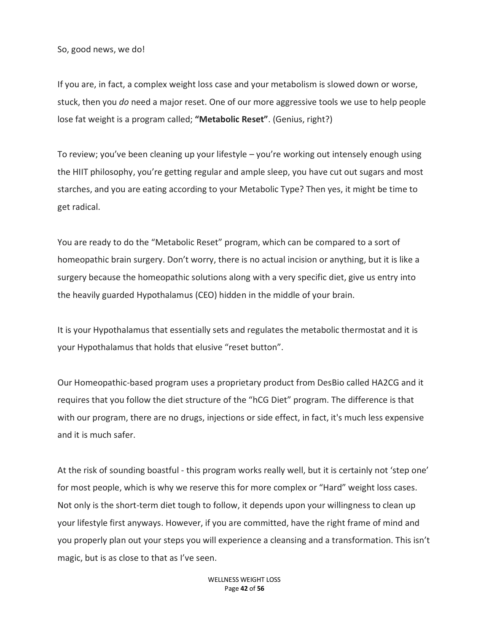So, good news, we do!

If you are, in fact, a complex weight loss case and your metabolism is slowed down or worse, stuck, then you *do* need a major reset. One of our more aggressive tools we use to help people lose fat weight is a program called; **"Metabolic Reset"**. (Genius, right?)

To review; you've been cleaning up your lifestyle – you're working out intensely enough using the HIIT philosophy, you're getting regular and ample sleep, you have cut out sugars and most starches, and you are eating according to your Metabolic Type? Then yes, it might be time to get radical.

You are ready to do the "Metabolic Reset" program, which can be compared to a sort of homeopathic brain surgery. Don't worry, there is no actual incision or anything, but it is like a surgery because the homeopathic solutions along with a very specific diet, give us entry into the heavily guarded Hypothalamus (CEO) hidden in the middle of your brain.

It is your Hypothalamus that essentially sets and regulates the metabolic thermostat and it is your Hypothalamus that holds that elusive "reset button".

Our Homeopathic-based program uses a proprietary product from DesBio called HA2CG and it requires that you follow the diet structure of the "hCG Diet" program. The difference is that with our program, there are no drugs, injections or side effect, in fact, it's much less expensive and it is much safer.

At the risk of sounding boastful - this program works really well, but it is certainly not 'step one' for most people, which is why we reserve this for more complex or "Hard" weight loss cases. Not only is the short-term diet tough to follow, it depends upon your willingness to clean up your lifestyle first anyways. However, if you are committed, have the right frame of mind and you properly plan out your steps you will experience a cleansing and a transformation. This isn't magic, but is as close to that as I've seen.

> WELLNESS WEIGHT LOSS Page **42** of **56**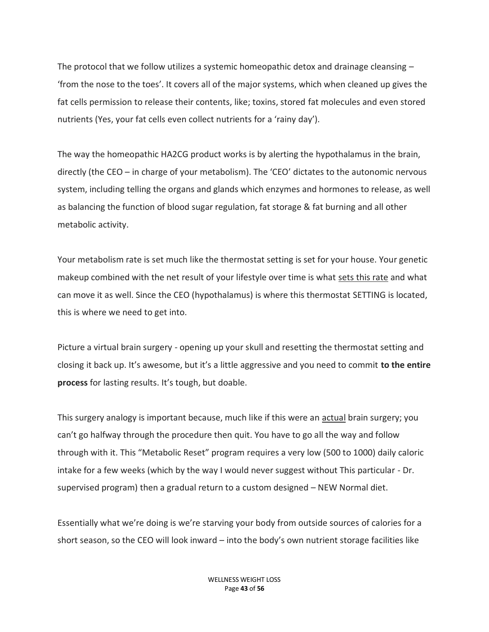The protocol that we follow utilizes a systemic homeopathic detox and drainage cleansing – 'from the nose to the toes'. It covers all of the major systems, which when cleaned up gives the fat cells permission to release their contents, like; toxins, stored fat molecules and even stored nutrients (Yes, your fat cells even collect nutrients for a 'rainy day').

The way the homeopathic HA2CG product works is by alerting the hypothalamus in the brain, directly (the CEO – in charge of your metabolism). The 'CEO' dictates to the autonomic nervous system, including telling the organs and glands which enzymes and hormones to release, as well as balancing the function of blood sugar regulation, fat storage & fat burning and all other metabolic activity.

Your metabolism rate is set much like the thermostat setting is set for your house. Your genetic makeup combined with the net result of your lifestyle over time is what sets this rate and what can move it as well. Since the CEO (hypothalamus) is where this thermostat SETTING is located, this is where we need to get into.

Picture a virtual brain surgery - opening up your skull and resetting the thermostat setting and closing it back up. It's awesome, but it's a little aggressive and you need to commit **to the entire process** for lasting results. It's tough, but doable.

This surgery analogy is important because, much like if this were an actual brain surgery; you can't go halfway through the procedure then quit. You have to go all the way and follow through with it. This "Metabolic Reset" program requires a very low (500 to 1000) daily caloric intake for a few weeks (which by the way I would never suggest without This particular - Dr. supervised program) then a gradual return to a custom designed – NEW Normal diet.

Essentially what we're doing is we're starving your body from outside sources of calories for a short season, so the CEO will look inward – into the body's own nutrient storage facilities like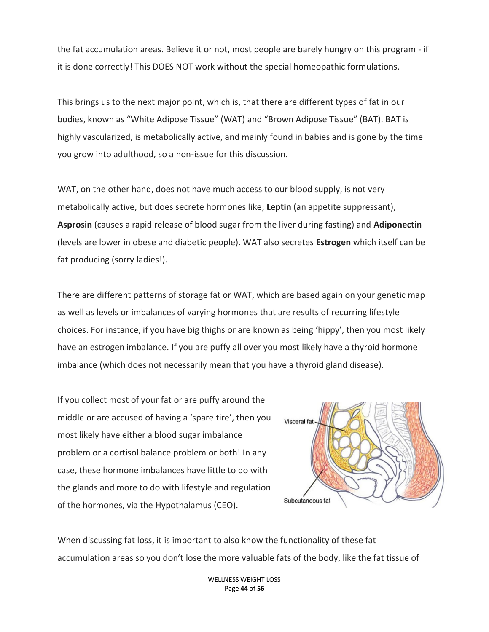the fat accumulation areas. Believe it or not, most people are barely hungry on this program - if it is done correctly! This DOES NOT work without the special homeopathic formulations.

This brings us to the next major point, which is, that there are different types of fat in our bodies, known as "White Adipose Tissue" (WAT) and "Brown Adipose Tissue" (BAT). BAT is highly vascularized, is metabolically active, and mainly found in babies and is gone by the time you grow into adulthood, so a non-issue for this discussion.

WAT, on the other hand, does not have much access to our blood supply, is not very metabolically active, but does secrete hormones like; **Leptin** (an appetite suppressant), **Asprosin** (causes a rapid release of blood sugar from the liver during fasting) and **Adiponectin** (levels are lower in obese and diabetic people). WAT also secretes **Estrogen** which itself can be fat producing (sorry ladies!).

There are different patterns of storage fat or WAT, which are based again on your genetic map as well as levels or imbalances of varying hormones that are results of recurring lifestyle choices. For instance, if you have big thighs or are known as being 'hippy', then you most likely have an estrogen imbalance. If you are puffy all over you most likely have a thyroid hormone imbalance (which does not necessarily mean that you have a thyroid gland disease).

If you collect most of your fat or are puffy around the middle or are accused of having a 'spare tire', then you most likely have either a blood sugar imbalance problem or a cortisol balance problem or both! In any case, these hormone imbalances have little to do with the glands and more to do with lifestyle and regulation of the hormones, via the Hypothalamus (CEO).



When discussing fat loss, it is important to also know the functionality of these fat accumulation areas so you don't lose the more valuable fats of the body, like the fat tissue of

> WELLNESS WEIGHT LOSS Page **44** of **56**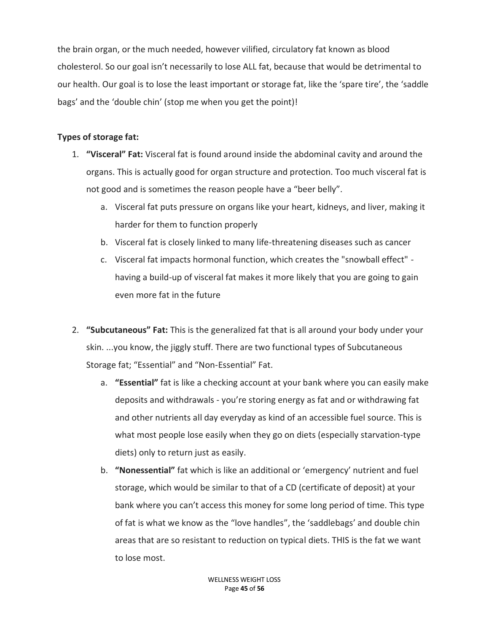the brain organ, or the much needed, however vilified, circulatory fat known as blood cholesterol. So our goal isn't necessarily to lose ALL fat, because that would be detrimental to our health. Our goal is to lose the least important or storage fat, like the 'spare tire', the 'saddle bags' and the 'double chin' (stop me when you get the point)!

## **Types of storage fat:**

- 1. **"Visceral" Fat:** Visceral fat is found around inside the abdominal cavity and around the organs. This is actually good for organ structure and protection. Too much visceral fat is not good and is sometimes the reason people have a "beer belly".
	- a. Visceral fat puts pressure on organs like your heart, kidneys, and liver, making it harder for them to function properly
	- b. Visceral fat is closely linked to many life-threatening diseases such as cancer
	- c. Visceral fat impacts hormonal function, which creates the "snowball effect" having a build-up of visceral fat makes it more likely that you are going to gain even more fat in the future
- 2. **"Subcutaneous" Fat:** This is the generalized fat that is all around your body under your skin. ...you know, the jiggly stuff. There are two functional types of Subcutaneous Storage fat; "Essential" and "Non-Essential" Fat.
	- a. **"Essential"** fat is like a checking account at your bank where you can easily make deposits and withdrawals - you're storing energy as fat and or withdrawing fat and other nutrients all day everyday as kind of an accessible fuel source. This is what most people lose easily when they go on diets (especially starvation-type diets) only to return just as easily.
	- b. **"Nonessential"** fat which is like an additional or 'emergency' nutrient and fuel storage, which would be similar to that of a CD (certificate of deposit) at your bank where you can't access this money for some long period of time. This type of fat is what we know as the "love handles", the 'saddlebags' and double chin areas that are so resistant to reduction on typical diets. THIS is the fat we want to lose most.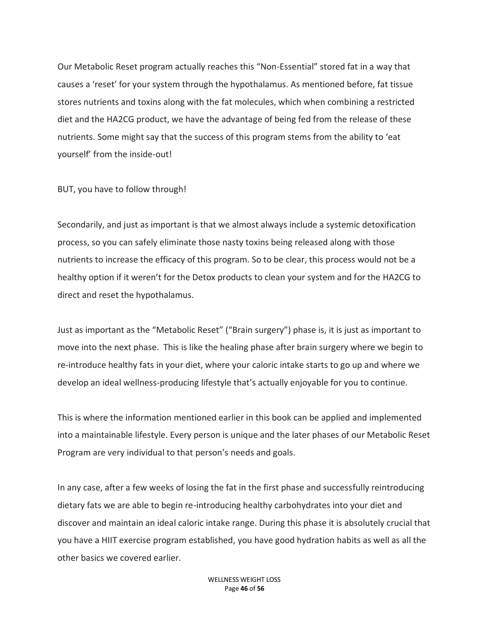Our Metabolic Reset program actually reaches this "Non-Essential" stored fat in a way that causes a 'reset' for your system through the hypothalamus. As mentioned before, fat tissue stores nutrients and toxins along with the fat molecules, which when combining a restricted diet and the HA2CG product, we have the advantage of being fed from the release of these nutrients. Some might say that the success of this program stems from the ability to 'eat yourself' from the inside-out!

BUT, you have to follow through!

Secondarily, and just as important is that we almost always include a systemic detoxification process, so you can safely eliminate those nasty toxins being released along with those nutrients to increase the efficacy of this program. So to be clear, this process would not be a healthy option if it weren't for the Detox products to clean your system and for the HA2CG to direct and reset the hypothalamus.

Just as important as the "Metabolic Reset" ("Brain surgery") phase is, it is just as important to move into the next phase. This is like the healing phase after brain surgery where we begin to re-introduce healthy fats in your diet, where your caloric intake starts to go up and where we develop an ideal wellness-producing lifestyle that's actually enjoyable for you to continue.

This is where the information mentioned earlier in this book can be applied and implemented into a maintainable lifestyle. Every person is unique and the later phases of our Metabolic Reset Program are very individual to that person's needs and goals.

In any case, after a few weeks of losing the fat in the first phase and successfully reintroducing dietary fats we are able to begin re-introducing healthy carbohydrates into your diet and discover and maintain an ideal caloric intake range. During this phase it is absolutely crucial that you have a HIIT exercise program established, you have good hydration habits as well as all the other basics we covered earlier.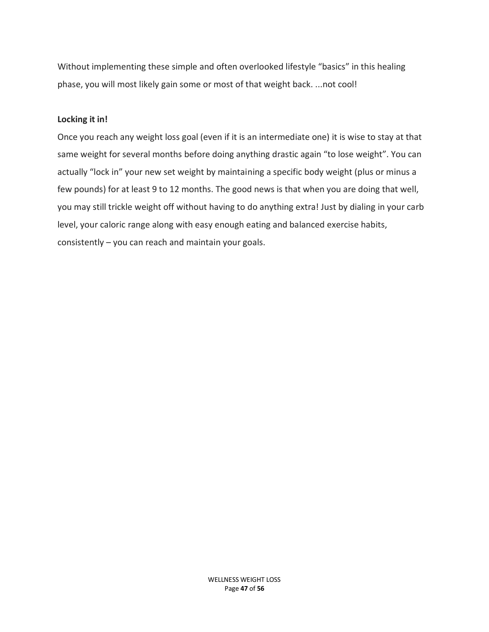Without implementing these simple and often overlooked lifestyle "basics" in this healing phase, you will most likely gain some or most of that weight back. ...not cool!

#### **Locking it in!**

Once you reach any weight loss goal (even if it is an intermediate one) it is wise to stay at that same weight for several months before doing anything drastic again "to lose weight". You can actually "lock in" your new set weight by maintaining a specific body weight (plus or minus a few pounds) for at least 9 to 12 months. The good news is that when you are doing that well, you may still trickle weight off without having to do anything extra! Just by dialing in your carb level, your caloric range along with easy enough eating and balanced exercise habits, consistently – you can reach and maintain your goals.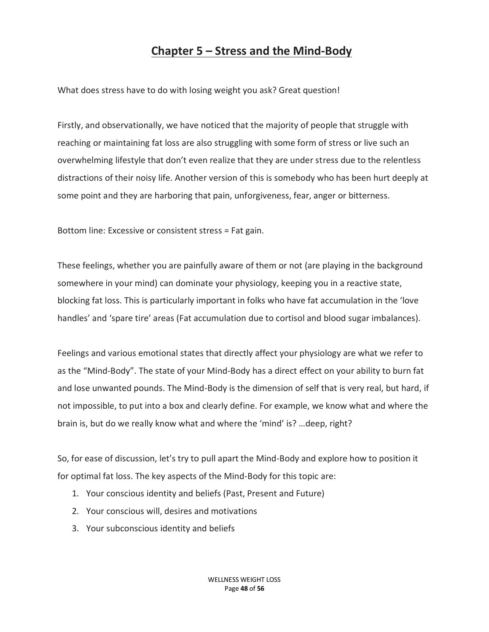## **Chapter 5 – Stress and the Mind-Body**

What does stress have to do with losing weight you ask? Great question!

Firstly, and observationally, we have noticed that the majority of people that struggle with reaching or maintaining fat loss are also struggling with some form of stress or live such an overwhelming lifestyle that don't even realize that they are under stress due to the relentless distractions of their noisy life. Another version of this is somebody who has been hurt deeply at some point and they are harboring that pain, unforgiveness, fear, anger or bitterness.

Bottom line: Excessive or consistent stress = Fat gain.

These feelings, whether you are painfully aware of them or not (are playing in the background somewhere in your mind) can dominate your physiology, keeping you in a reactive state, blocking fat loss. This is particularly important in folks who have fat accumulation in the 'love handles' and 'spare tire' areas (Fat accumulation due to cortisol and blood sugar imbalances).

Feelings and various emotional states that directly affect your physiology are what we refer to as the "Mind-Body". The state of your Mind-Body has a direct effect on your ability to burn fat and lose unwanted pounds. The Mind-Body is the dimension of self that is very real, but hard, if not impossible, to put into a box and clearly define. For example, we know what and where the brain is, but do we really know what and where the 'mind' is? …deep, right?

So, for ease of discussion, let's try to pull apart the Mind-Body and explore how to position it for optimal fat loss. The key aspects of the Mind-Body for this topic are:

- 1. Your conscious identity and beliefs (Past, Present and Future)
- 2. Your conscious will, desires and motivations
- 3. Your subconscious identity and beliefs

WELLNESS WEIGHT LOSS Page **48** of **56**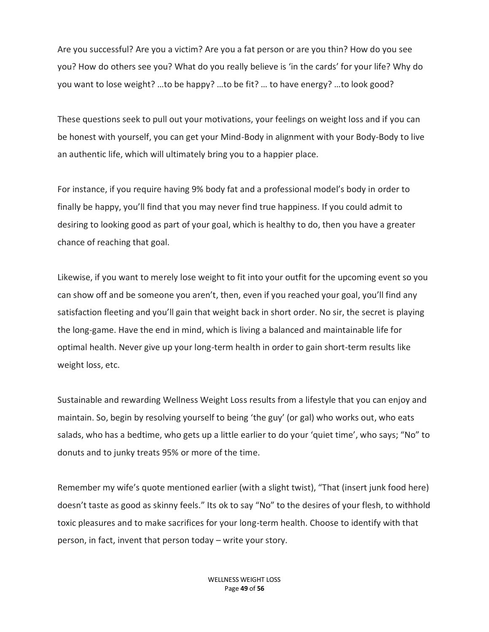Are you successful? Are you a victim? Are you a fat person or are you thin? How do you see you? How do others see you? What do you really believe is 'in the cards' for your life? Why do you want to lose weight? …to be happy? …to be fit? … to have energy? …to look good?

These questions seek to pull out your motivations, your feelings on weight loss and if you can be honest with yourself, you can get your Mind-Body in alignment with your Body-Body to live an authentic life, which will ultimately bring you to a happier place.

For instance, if you require having 9% body fat and a professional model's body in order to finally be happy, you'll find that you may never find true happiness. If you could admit to desiring to looking good as part of your goal, which is healthy to do, then you have a greater chance of reaching that goal.

Likewise, if you want to merely lose weight to fit into your outfit for the upcoming event so you can show off and be someone you aren't, then, even if you reached your goal, you'll find any satisfaction fleeting and you'll gain that weight back in short order. No sir, the secret is playing the long-game. Have the end in mind, which is living a balanced and maintainable life for optimal health. Never give up your long-term health in order to gain short-term results like weight loss, etc.

Sustainable and rewarding Wellness Weight Loss results from a lifestyle that you can enjoy and maintain. So, begin by resolving yourself to being 'the guy' (or gal) who works out, who eats salads, who has a bedtime, who gets up a little earlier to do your 'quiet time', who says; "No" to donuts and to junky treats 95% or more of the time.

Remember my wife's quote mentioned earlier (with a slight twist), "That (insert junk food here) doesn't taste as good as skinny feels." Its ok to say "No" to the desires of your flesh, to withhold toxic pleasures and to make sacrifices for your long-term health. Choose to identify with that person, in fact, invent that person today – write your story.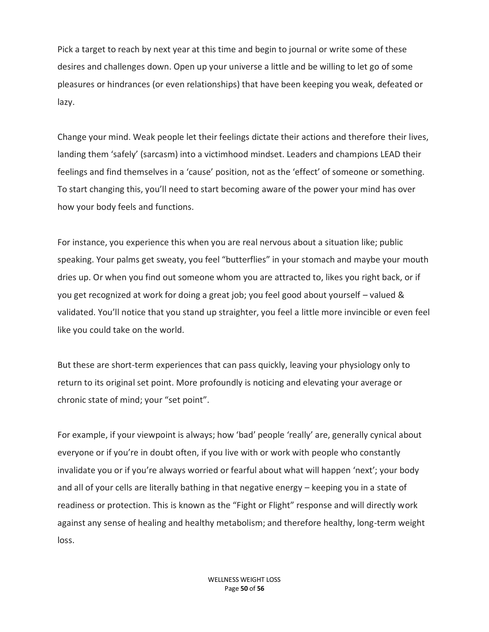Pick a target to reach by next year at this time and begin to journal or write some of these desires and challenges down. Open up your universe a little and be willing to let go of some pleasures or hindrances (or even relationships) that have been keeping you weak, defeated or lazy.

Change your mind. Weak people let their feelings dictate their actions and therefore their lives, landing them 'safely' (sarcasm) into a victimhood mindset. Leaders and champions LEAD their feelings and find themselves in a 'cause' position, not as the 'effect' of someone or something. To start changing this, you'll need to start becoming aware of the power your mind has over how your body feels and functions.

For instance, you experience this when you are real nervous about a situation like; public speaking. Your palms get sweaty, you feel "butterflies" in your stomach and maybe your mouth dries up. Or when you find out someone whom you are attracted to, likes you right back, or if you get recognized at work for doing a great job; you feel good about yourself – valued & validated. You'll notice that you stand up straighter, you feel a little more invincible or even feel like you could take on the world.

But these are short-term experiences that can pass quickly, leaving your physiology only to return to its original set point. More profoundly is noticing and elevating your average or chronic state of mind; your "set point".

For example, if your viewpoint is always; how 'bad' people 'really' are, generally cynical about everyone or if you're in doubt often, if you live with or work with people who constantly invalidate you or if you're always worried or fearful about what will happen 'next'; your body and all of your cells are literally bathing in that negative energy – keeping you in a state of readiness or protection. This is known as the "Fight or Flight" response and will directly work against any sense of healing and healthy metabolism; and therefore healthy, long-term weight loss.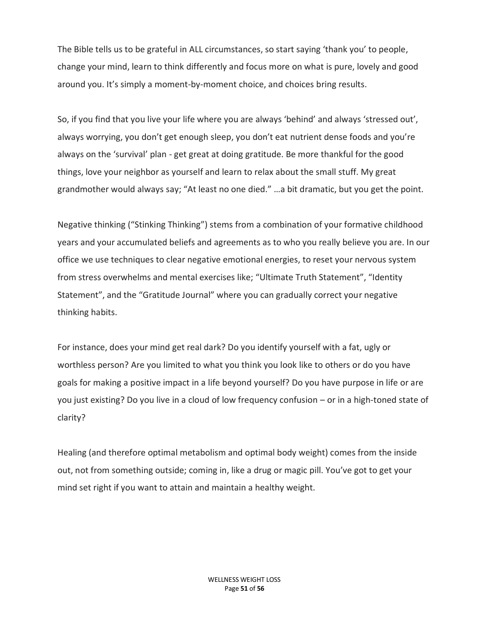The Bible tells us to be grateful in ALL circumstances, so start saying 'thank you' to people, change your mind, learn to think differently and focus more on what is pure, lovely and good around you. It's simply a moment-by-moment choice, and choices bring results.

So, if you find that you live your life where you are always 'behind' and always 'stressed out', always worrying, you don't get enough sleep, you don't eat nutrient dense foods and you're always on the 'survival' plan - get great at doing gratitude. Be more thankful for the good things, love your neighbor as yourself and learn to relax about the small stuff. My great grandmother would always say; "At least no one died." …a bit dramatic, but you get the point.

Negative thinking ("Stinking Thinking") stems from a combination of your formative childhood years and your accumulated beliefs and agreements as to who you really believe you are. In our office we use techniques to clear negative emotional energies, to reset your nervous system from stress overwhelms and mental exercises like; "Ultimate Truth Statement", "Identity Statement", and the "Gratitude Journal" where you can gradually correct your negative thinking habits.

For instance, does your mind get real dark? Do you identify yourself with a fat, ugly or worthless person? Are you limited to what you think you look like to others or do you have goals for making a positive impact in a life beyond yourself? Do you have purpose in life or are you just existing? Do you live in a cloud of low frequency confusion – or in a high-toned state of clarity?

Healing (and therefore optimal metabolism and optimal body weight) comes from the inside out, not from something outside; coming in, like a drug or magic pill. You've got to get your mind set right if you want to attain and maintain a healthy weight.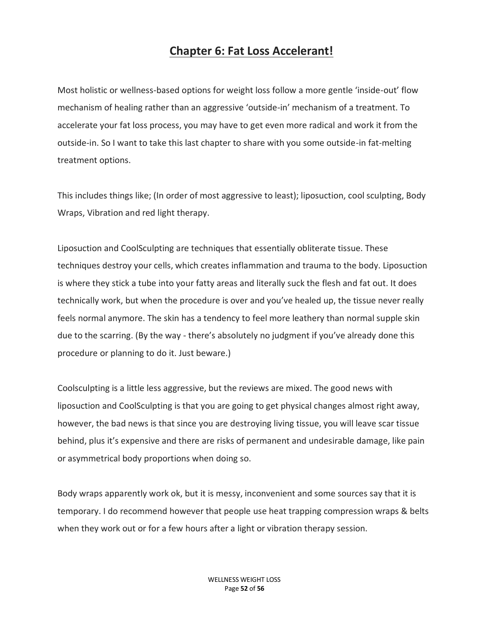## **Chapter 6: Fat Loss Accelerant!**

Most holistic or wellness-based options for weight loss follow a more gentle 'inside-out' flow mechanism of healing rather than an aggressive 'outside-in' mechanism of a treatment. To accelerate your fat loss process, you may have to get even more radical and work it from the outside-in. So I want to take this last chapter to share with you some outside-in fat-melting treatment options.

This includes things like; (In order of most aggressive to least); liposuction, cool sculpting, Body Wraps, Vibration and red light therapy.

Liposuction and CoolSculpting are techniques that essentially obliterate tissue. These techniques destroy your cells, which creates inflammation and trauma to the body. Liposuction is where they stick a tube into your fatty areas and literally suck the flesh and fat out. It does technically work, but when the procedure is over and you've healed up, the tissue never really feels normal anymore. The skin has a tendency to feel more leathery than normal supple skin due to the scarring. (By the way - there's absolutely no judgment if you've already done this procedure or planning to do it. Just beware.)

Coolsculpting is a little less aggressive, but the reviews are mixed. The good news with liposuction and CoolSculpting is that you are going to get physical changes almost right away, however, the bad news is that since you are destroying living tissue, you will leave scar tissue behind, plus it's expensive and there are risks of permanent and undesirable damage, like pain or asymmetrical body proportions when doing so.

Body wraps apparently work ok, but it is messy, inconvenient and some sources say that it is temporary. I do recommend however that people use heat trapping compression wraps & belts when they work out or for a few hours after a light or vibration therapy session.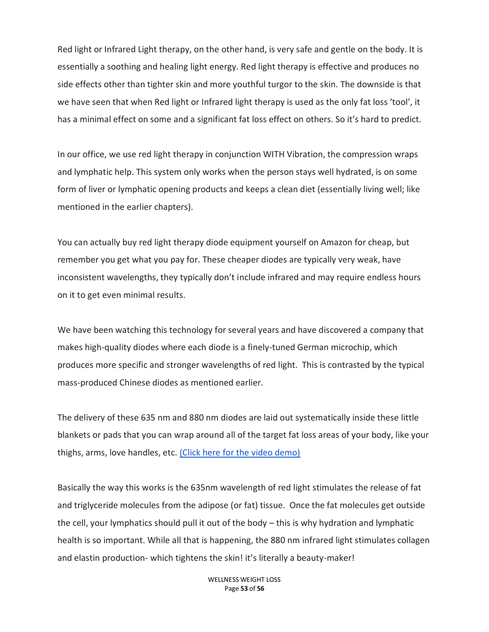Red light or Infrared Light therapy, on the other hand, is very safe and gentle on the body. It is essentially a soothing and healing light energy. Red light therapy is effective and produces no side effects other than tighter skin and more youthful turgor to the skin. The downside is that we have seen that when Red light or Infrared light therapy is used as the only fat loss 'tool', it has a minimal effect on some and a significant fat loss effect on others. So it's hard to predict.

In our office, we use red light therapy in conjunction WITH Vibration, the compression wraps and lymphatic help. This system only works when the person stays well hydrated, is on some form of liver or lymphatic opening products and keeps a clean diet (essentially living well; like mentioned in the earlier chapters).

You can actually buy red light therapy diode equipment yourself on Amazon for cheap, but remember you get what you pay for. These cheaper diodes are typically very weak, have inconsistent wavelengths, they typically don't include infrared and may require endless hours on it to get even minimal results.

We have been watching this technology for several years and have discovered a company that makes high-quality diodes where each diode is a finely-tuned German microchip, which produces more specific and stronger wavelengths of red light. This is contrasted by the typical mass-produced Chinese diodes as mentioned earlier.

The delivery of these 635 nm and 880 nm diodes are laid out systematically inside these little blankets or pads that you can wrap around all of the target fat loss areas of your body, like your thighs, arms, love handles, etc. [\(Click here for the video demo\)](https://youtu.be/q2wD_lJg9y0)

Basically the way this works is the 635nm wavelength of red light stimulates the release of fat and triglyceride molecules from the adipose (or fat) tissue. Once the fat molecules get outside the cell, your lymphatics should pull it out of the body – this is why hydration and lymphatic health is so important. While all that is happening, the 880 nm infrared light stimulates collagen and elastin production- which tightens the skin! it's literally a beauty-maker!

> WELLNESS WEIGHT LOSS Page **53** of **56**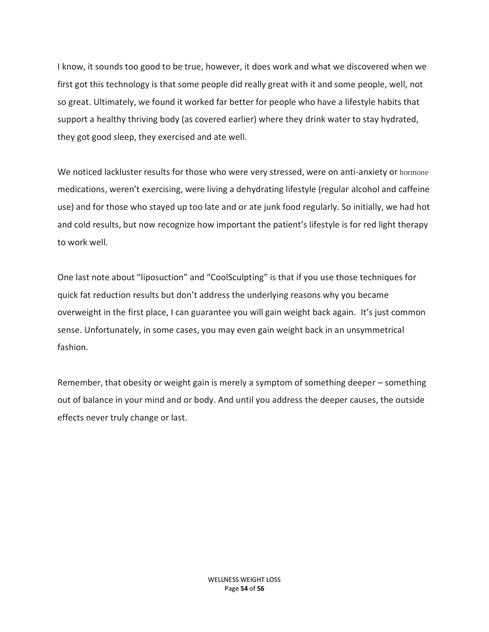I know, it sounds too good to be true, however, it does work and what we discovered when we first got this technology is that some people did really great with it and some people, well, not so great. Ultimately, we found it worked far better for people who have a lifestyle habits that support a healthy thriving body (as covered earlier) where they drink water to stay hydrated, they got good sleep, they exercised and ate well.

We noticed lackluster results for those who were very stressed, were on anti-anxiety or hormone medications, weren't exercising, were living a dehydrating lifestyle (regular alcohol and caffeine use) and for those who stayed up too late and or ate junk food regularly. So initially, we had hot and cold results, but now recognize how important the patient's lifestyle is for red light therapy to work well.

One last note about "liposuction" and "CoolSculpting" is that if you use those techniques for quick fat reduction results but don't address the underlying reasons why you became overweight in the first place, I can guarantee you will gain weight back again. It's just common sense. Unfortunately, in some cases, you may even gain weight back in an unsymmetrical fashion.

Remember, that obesity or weight gain is merely a symptom of something deeper – something out of balance in your mind and or body. And until you address the deeper causes, the outside effects never truly change or last.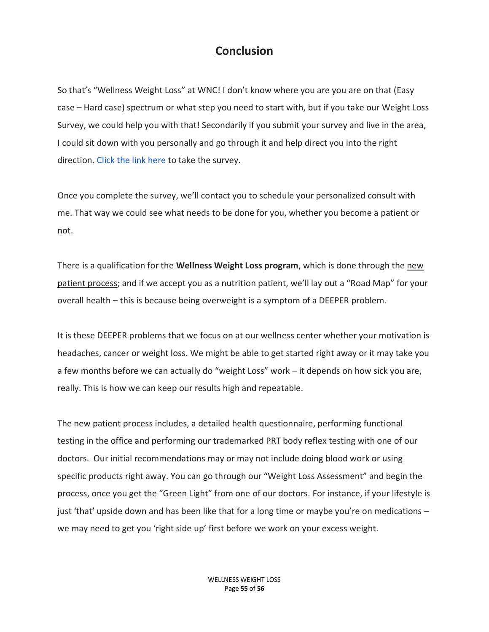## **Conclusion**

So that's "Wellness Weight Loss" at WNC! I don't know where you are you are on that (Easy case – Hard case) spectrum or what step you need to start with, but if you take our Weight Loss Survey, we could help you with that! Secondarily if you submit your survey and live in the area, I could sit down with you personally and go through it and help direct you into the right direction. [Click the link here](https://docs.google.com/forms/d/e/1FAIpQLSejPLhxtP-ADpmDBgGW6HVmaoH3TlKPFizgcasA0Eg4lGD5iA/viewform) to take the survey.

Once you complete the survey, we'll contact you to schedule your personalized consult with me. That way we could see what needs to be done for you, whether you become a patient or not.

There is a qualification for the **Wellness Weight Loss program**, which is done through the new patient process; and if we accept you as a nutrition patient, we'll lay out a "Road Map" for your overall health – this is because being overweight is a symptom of a DEEPER problem.

It is these DEEPER problems that we focus on at our wellness center whether your motivation is headaches, cancer or weight loss. We might be able to get started right away or it may take you a few months before we can actually do "weight Loss" work – it depends on how sick you are, really. This is how we can keep our results high and repeatable.

The new patient process includes, a detailed health questionnaire, performing functional testing in the office and performing our trademarked PRT body reflex testing with one of our doctors. Our initial recommendations may or may not include doing blood work or using specific products right away. You can go through our "Weight Loss Assessment" and begin the process, once you get the "Green Light" from one of our doctors. For instance, if your lifestyle is just 'that' upside down and has been like that for a long time or maybe you're on medications – we may need to get you 'right side up' first before we work on your excess weight.